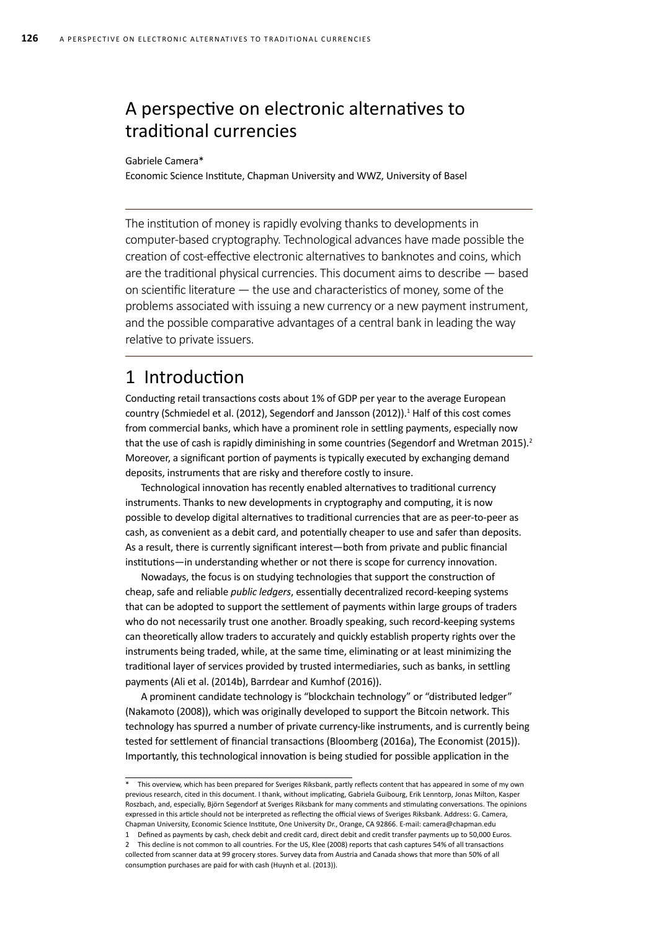# A perspective on electronic alternatives to traditional currencies

#### Gabriele Camera\*

Economic Science Institute, Chapman University and WWZ, University of Basel

The institution of money is rapidly evolving thanks to developments in computer-based cryptography. Technological advances have made possible the creation of cost-effective electronic alternatives to banknotes and coins, which are the traditional physical currencies. This document aims to describe — based on scientific literature — the use and characteristics of money, some of the problems associated with issuing a new currency or a new payment instrument, and the possible comparative advantages of a central bank in leading the way relative to private issuers.

## 1 Introduction

Conducting retail transactions costs about 1% of GDP per year to the average European country (Schmiedel et al. (2012), Segendorf and Jansson (2012)).<sup>1</sup> Half of this cost comes from commercial banks, which have a prominent role in settling payments, especially now that the use of cash is rapidly diminishing in some countries (Segendorf and Wretman 2015).<sup>2</sup> Moreover, a significant portion of payments is typically executed by exchanging demand deposits, instruments that are risky and therefore costly to insure.

Technological innovation has recently enabled alternatives to traditional currency instruments. Thanks to new developments in cryptography and computing, it is now possible to develop digital alternatives to traditional currencies that are as peer-to-peer as cash, as convenient as a debit card, and potentially cheaper to use and safer than deposits. As a result, there is currently significant interest—both from private and public financial institutions—in understanding whether or not there is scope for currency innovation.

Nowadays, the focus is on studying technologies that support the construction of cheap, safe and reliable *public ledgers*, essentially decentralized record-keeping systems that can be adopted to support the settlement of payments within large groups of traders who do not necessarily trust one another. Broadly speaking, such record-keeping systems can theoretically allow traders to accurately and quickly establish property rights over the instruments being traded, while, at the same time, eliminating or at least minimizing the traditional layer of services provided by trusted intermediaries, such as banks, in settling payments (Ali et al. (2014b), Barrdear and Kumhof (2016)).

A prominent candidate technology is "blockchain technology" or "distributed ledger" (Nakamoto (2008)), which was originally developed to support the Bitcoin network. This technology has spurred a number of private currency-like instruments, and is currently being tested for settlement of financial transactions (Bloomberg (2016a), The Economist (2015)). Importantly, this technological innovation is being studied for possible application in the

<sup>\*</sup> This overview, which has been prepared for Sveriges Riksbank, partly reflects content that has appeared in some of my own previous research, cited in this document. I thank, without implicating, Gabriela Guibourg, Erik Lenntorp, Jonas Milton, Kasper Roszbach, and, especially, Björn Segendorf at Sveriges Riksbank for many comments and stimulating conversations. The opinions expressed in this article should not be interpreted as reflecting the official views of Sveriges Riksbank. Address: G. Camera, Chapman University, Economic Science Institute, One University Dr., Orange, CA 92866. E-mail: camera@chapman.edu

<sup>1</sup> Defined as payments by cash, check debit and credit card, direct debit and credit transfer payments up to 50,000 Euros.

<sup>2</sup> This decline is not common to all countries. For the US, Klee (2008) reports that cash captures 54% of all transactions collected from scanner data at 99 grocery stores. Survey data from Austria and Canada shows that more than 50% of all consumption purchases are paid for with cash (Huynh et al. (2013)).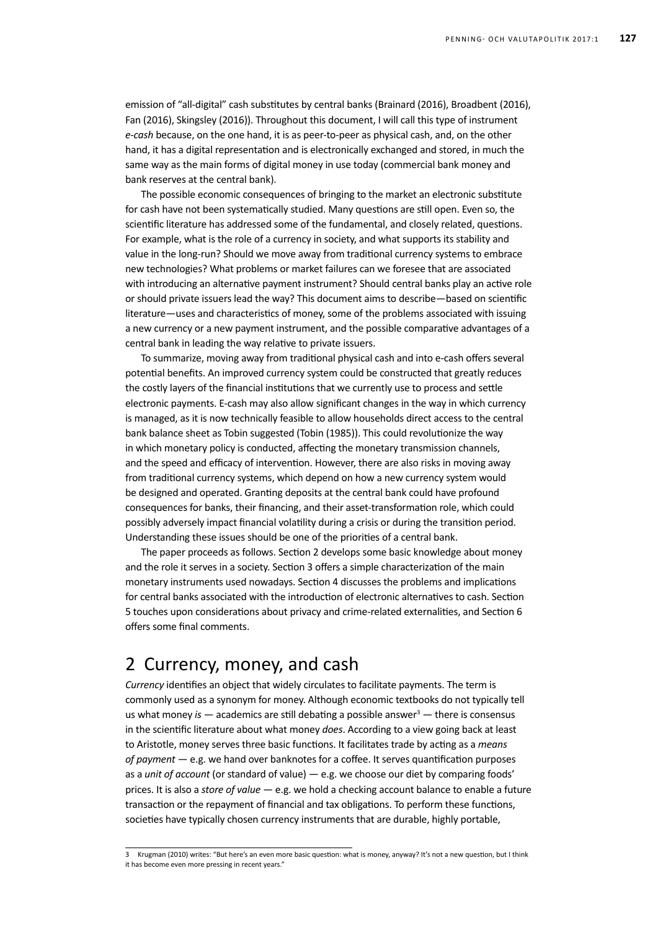emission of "all-digital" cash substitutes by central banks (Brainard (2016), Broadbent (2016), Fan (2016), Skingsley (2016)). Throughout this document, I will call this type of instrument *e-cash* because, on the one hand, it is as peer-to-peer as physical cash, and, on the other hand, it has a digital representation and is electronically exchanged and stored, in much the same way as the main forms of digital money in use today (commercial bank money and bank reserves at the central bank).

The possible economic consequences of bringing to the market an electronic substitute for cash have not been systematically studied. Many questions are still open. Even so, the scientific literature has addressed some of the fundamental, and closely related, questions. For example, what is the role of a currency in society, and what supports its stability and value in the long-run? Should we move away from traditional currency systems to embrace new technologies? What problems or market failures can we foresee that are associated with introducing an alternative payment instrument? Should central banks play an active role or should private issuers lead the way? This document aims to describe—based on scientific literature—uses and characteristics of money, some of the problems associated with issuing a new currency or a new payment instrument, and the possible comparative advantages of a central bank in leading the way relative to private issuers.

To summarize, moving away from traditional physical cash and into e-cash offers several potential benefits. An improved currency system could be constructed that greatly reduces the costly layers of the financial institutions that we currently use to process and settle electronic payments. E-cash may also allow significant changes in the way in which currency is managed, as it is now technically feasible to allow households direct access to the central bank balance sheet as Tobin suggested (Tobin (1985)). This could revolutionize the way in which monetary policy is conducted, affecting the monetary transmission channels, and the speed and efficacy of intervention. However, there are also risks in moving away from traditional currency systems, which depend on how a new currency system would be designed and operated. Granting deposits at the central bank could have profound consequences for banks, their financing, and their asset-transformation role, which could possibly adversely impact financial volatility during a crisis or during the transition period. Understanding these issues should be one of the priorities of a central bank.

The paper proceeds as follows. Section 2 develops some basic knowledge about money and the role it serves in a society. Section 3 offers a simple characterization of the main monetary instruments used nowadays. Section 4 discusses the problems and implications for central banks associated with the introduction of electronic alternatives to cash. Section 5 touches upon considerations about privacy and crime-related externalities, and Section 6 offers some final comments.

## 2 Currency, money, and cash

*Currency* identifies an object that widely circulates to facilitate payments. The term is commonly used as a synonym for money. Although economic textbooks do not typically tell us what money *is*  $-$  academics are still debating a possible answer<sup>3</sup>  $-$  there is consensus in the scientific literature about what money *does*. According to a view going back at least to Aristotle, money serves three basic functions. It facilitates trade by acting as a *means of payment* — e.g. we hand over banknotes for a coffee. It serves quantification purposes as a *unit of account* (or standard of value) — e.g. we choose our diet by comparing foods' prices. It is also a *store of value* — e.g. we hold a checking account balance to enable a future transaction or the repayment of financial and tax obligations. To perform these functions, societies have typically chosen currency instruments that are durable, highly portable,

<sup>3</sup> Krugman (2010) writes: "But here's an even more basic question: what is money, anyway? It's not a new question, but I think it has become even more pressing in recent years."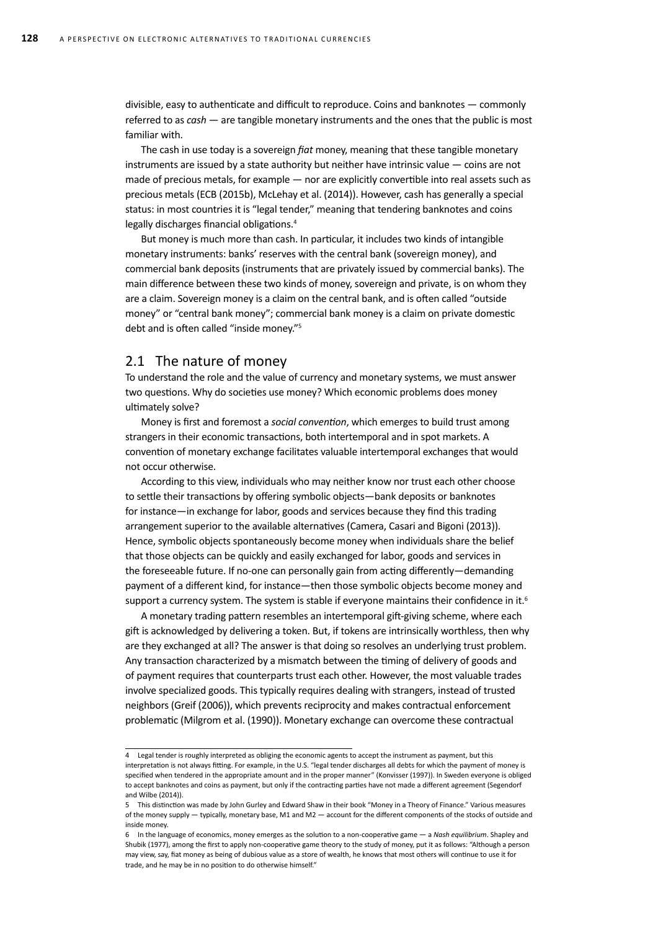divisible, easy to authenticate and difficult to reproduce. Coins and banknotes — commonly referred to as *cash* — are tangible monetary instruments and the ones that the public is most familiar with.

The cash in use today is a sovereign *fiat* money, meaning that these tangible monetary instruments are issued by a state authority but neither have intrinsic value — coins are not made of precious metals, for example — nor are explicitly convertible into real assets such as precious metals (ECB (2015b), McLehay et al. (2014)). However, cash has generally a special status: in most countries it is "legal tender," meaning that tendering banknotes and coins legally discharges financial obligations.<sup>4</sup>

But money is much more than cash. In particular, it includes two kinds of intangible monetary instruments: banks' reserves with the central bank (sovereign money), and commercial bank deposits (instruments that are privately issued by commercial banks). The main difference between these two kinds of money, sovereign and private, is on whom they are a claim. Sovereign money is a claim on the central bank, and is often called "outside money" or "central bank money"; commercial bank money is a claim on private domestic debt and is often called "inside money."5

## 2.1 The nature of money

To understand the role and the value of currency and monetary systems, we must answer two questions. Why do societies use money? Which economic problems does money ultimately solve?

Money is first and foremost a *social convention*, which emerges to build trust among strangers in their economic transactions, both intertemporal and in spot markets. A convention of monetary exchange facilitates valuable intertemporal exchanges that would not occur otherwise.

According to this view, individuals who may neither know nor trust each other choose to settle their transactions by offering symbolic objects—bank deposits or banknotes for instance—in exchange for labor, goods and services because they find this trading arrangement superior to the available alternatives (Camera, Casari and Bigoni (2013)). Hence, symbolic objects spontaneously become money when individuals share the belief that those objects can be quickly and easily exchanged for labor, goods and services in the foreseeable future. If no-one can personally gain from acting differently—demanding payment of a different kind, for instance—then those symbolic objects become money and support a currency system. The system is stable if everyone maintains their confidence in it.<sup>6</sup>

A monetary trading pattern resembles an intertemporal gift-giving scheme, where each gift is acknowledged by delivering a token. But, if tokens are intrinsically worthless, then why are they exchanged at all? The answer is that doing so resolves an underlying trust problem. Any transaction characterized by a mismatch between the timing of delivery of goods and of payment requires that counterparts trust each other. However, the most valuable trades involve specialized goods. This typically requires dealing with strangers, instead of trusted neighbors (Greif (2006)), which prevents reciprocity and makes contractual enforcement problematic (Milgrom et al. (1990)). Monetary exchange can overcome these contractual

<sup>4</sup> Legal tender is roughly interpreted as obliging the economic agents to accept the instrument as payment, but this interpretation is not always fitting. For example, in the U.S. "legal tender discharges all debts for which the payment of money is specified when tendered in the appropriate amount and in the proper manner" (Konvisser (1997)). In Sweden everyone is obliged to accept banknotes and coins as payment, but only if the contracting parties have not made a different agreement (Segendorf and Wilbe (2014)).

<sup>5</sup> This distinction was made by John Gurley and Edward Shaw in their book "Money in a Theory of Finance." Various measures of the money supply — typically, monetary base, M1 and M2 — account for the different components of the stocks of outside and inside money.

<sup>6</sup> In the language of economics, money emerges as the solution to a non-cooperative game — a *Nash equilibrium*. Shapley and Shubik (1977), among the first to apply non-cooperative game theory to the study of money, put it as follows: "Although a person may view, say, fiat money as being of dubious value as a store of wealth, he knows that most others will continue to use it for trade, and he may be in no position to do otherwise himself."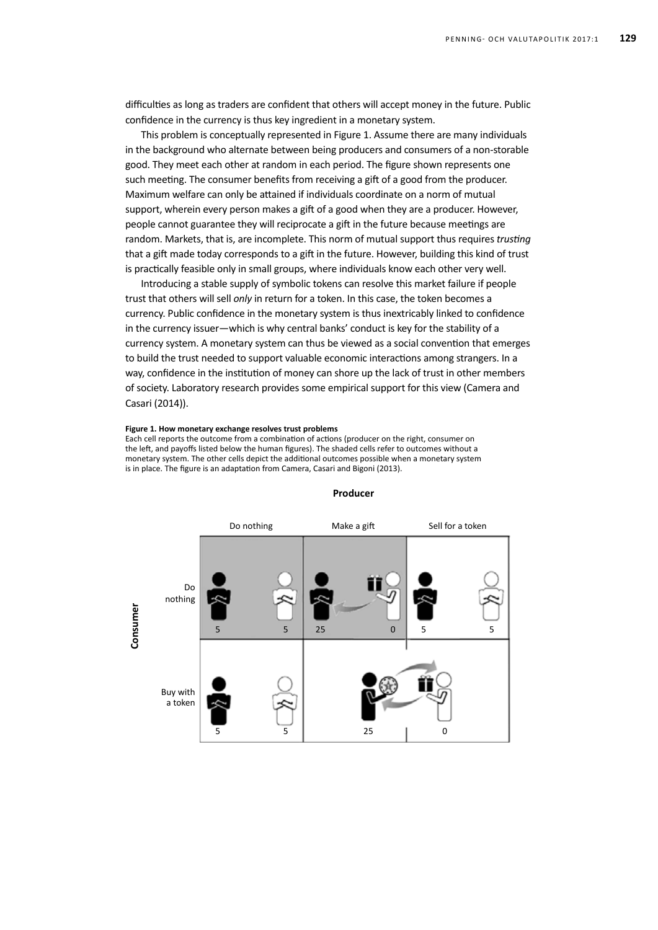difficulties as long as traders are confident that others will accept money in the future. Public confidence in the currency is thus key ingredient in a monetary system.

This problem is conceptually represented in Figure 1. Assume there are many individuals in the background who alternate between being producers and consumers of a non-storable good. They meet each other at random in each period. The figure shown represents one such meeting. The consumer benefits from receiving a gift of a good from the producer. Maximum welfare can only be attained if individuals coordinate on a norm of mutual support, wherein every person makes a gift of a good when they are a producer. However, people cannot guarantee they will reciprocate a gift in the future because meetings are random. Markets, that is, are incomplete. This norm of mutual support thus requires *trusting* that a gift made today corresponds to a gift in the future. However, building this kind of trust is practically feasible only in small groups, where individuals know each other very well.

Introducing a stable supply of symbolic tokens can resolve this market failure if people trust that others will sell *only* in return for a token. In this case, the token becomes a currency. Public confidence in the monetary system is thus inextricably linked to confidence in the currency issuer—which is why central banks' conduct is key for the stability of a currency system. A monetary system can thus be viewed as a social convention that emerges to build the trust needed to support valuable economic interactions among strangers. In a way, confidence in the institution of money can shore up the lack of trust in other members of society. Laboratory research provides some empirical support for this view (Camera and Casari (2014)).

#### **Figure 1. How monetary exchange resolves trust problems**

Each cell reports the outcome from a combination of actions (producer on the right, consumer on the left, and payoffs listed below the human figures). The shaded cells refer to outcomes without a monetary system. The other cells depict the additional outcomes possible when a monetary system is in place. The figure is an adaptation from Camera, Casari and Bigoni (2013).



#### **Producer**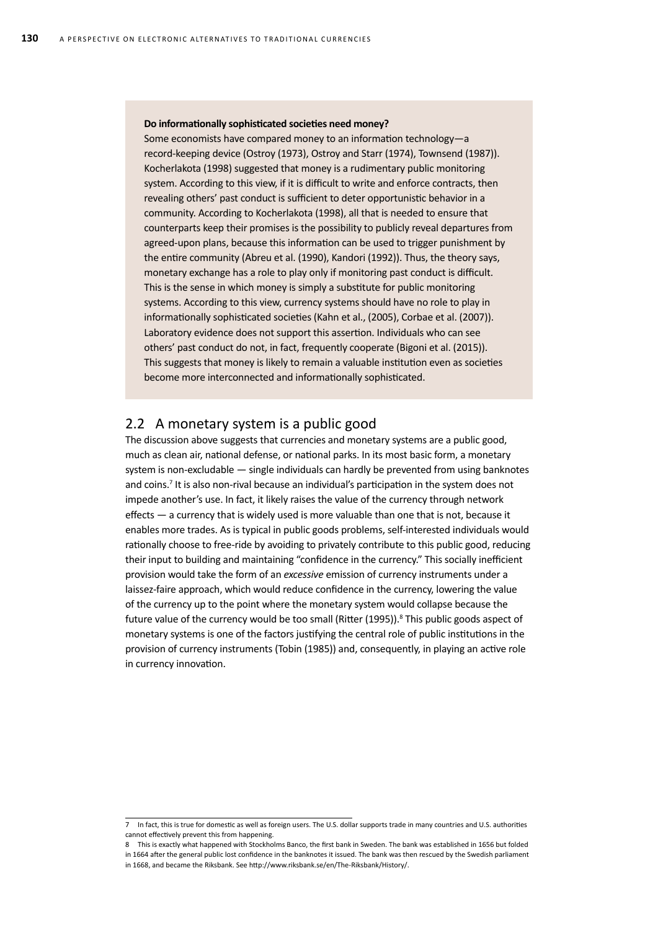#### **Do informationally sophisticated societies need money?**

Some economists have compared money to an information technology—a record-keeping device (Ostroy (1973), Ostroy and Starr (1974), Townsend (1987)). Kocherlakota (1998) suggested that money is a rudimentary public monitoring system. According to this view, if it is difficult to write and enforce contracts, then revealing others' past conduct is sufficient to deter opportunistic behavior in a community. According to Kocherlakota (1998), all that is needed to ensure that counterparts keep their promises is the possibility to publicly reveal departures from agreed-upon plans, because this information can be used to trigger punishment by the entire community (Abreu et al. (1990), Kandori (1992)). Thus, the theory says, monetary exchange has a role to play only if monitoring past conduct is difficult. This is the sense in which money is simply a substitute for public monitoring systems. According to this view, currency systems should have no role to play in informationally sophisticated societies (Kahn et al., (2005), Corbae et al. (2007)). Laboratory evidence does not support this assertion. Individuals who can see others' past conduct do not, in fact, frequently cooperate (Bigoni et al. (2015)). This suggests that money is likely to remain a valuable institution even as societies become more interconnected and informationally sophisticated.

### 2.2 A monetary system is a public good

The discussion above suggests that currencies and monetary systems are a public good, much as clean air, national defense, or national parks. In its most basic form, a monetary system is non-excludable — single individuals can hardly be prevented from using banknotes and coins.<sup>7</sup> It is also non-rival because an individual's participation in the system does not impede another's use. In fact, it likely raises the value of the currency through network effects — a currency that is widely used is more valuable than one that is not, because it enables more trades. As is typical in public goods problems, self-interested individuals would rationally choose to free-ride by avoiding to privately contribute to this public good, reducing their input to building and maintaining "confidence in the currency." This socially inefficient provision would take the form of an *excessive* emission of currency instruments under a laissez-faire approach, which would reduce confidence in the currency, lowering the value of the currency up to the point where the monetary system would collapse because the future value of the currency would be too small (Ritter (1995)).<sup>8</sup> This public goods aspect of monetary systems is one of the factors justifying the central role of public institutions in the provision of currency instruments (Tobin (1985)) and, consequently, in playing an active role in currency innovation.

<sup>7</sup> In fact, this is true for domestic as well as foreign users. The U.S. dollar supports trade in many countries and U.S. authorities cannot effectively prevent this from happening.

<sup>8</sup> This is exactly what happened with Stockholms Banco, the first bank in Sweden. The bank was established in 1656 but folded in 1664 after the general public lost confidence in the banknotes it issued. The bank was then rescued by the Swedish parliament in 1668, and became the Riksbank. See http://www.riksbank.se/en/The-Riksbank/History/.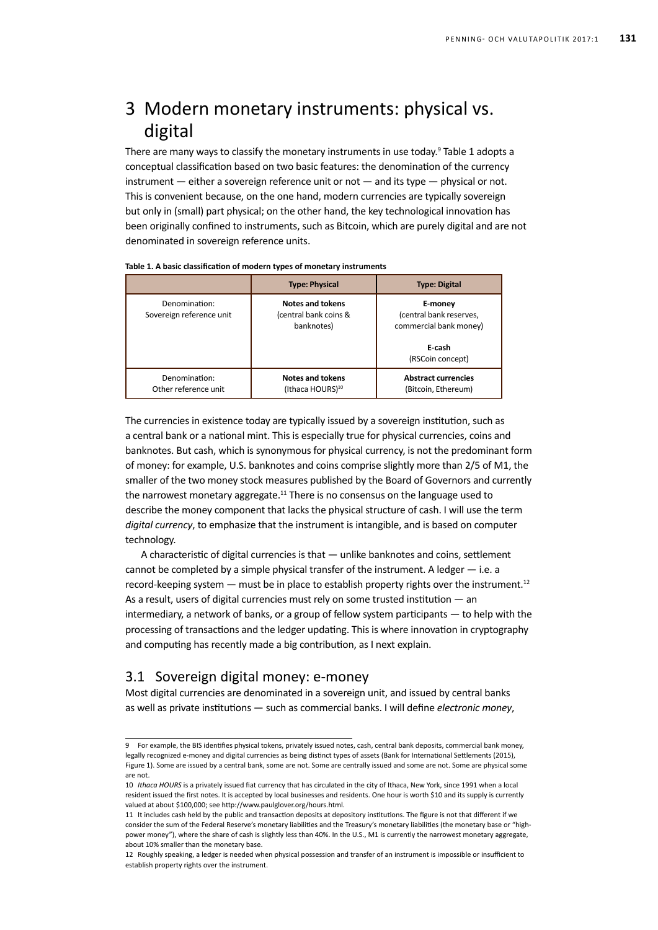# 3 Modern monetary instruments: physical vs. digital

There are many ways to classify the monetary instruments in use today.<sup>9</sup> Table 1 adopts a conceptual classification based on two basic features: the denomination of the currency instrument  $-$  either a sovereign reference unit or not  $-$  and its type  $-$  physical or not. This is convenient because, on the one hand, modern currencies are typically sovereign but only in (small) part physical; on the other hand, the key technological innovation has been originally confined to instruments, such as Bitcoin, which are purely digital and are not denominated in sovereign reference units.

|                                           | <b>Type: Physical</b>                                          | <b>Type: Digital</b>                                                                       |
|-------------------------------------------|----------------------------------------------------------------|--------------------------------------------------------------------------------------------|
| Denomination:<br>Sovereign reference unit | <b>Notes and tokens</b><br>(central bank coins &<br>banknotes) | E-money<br>(central bank reserves,<br>commercial bank money)<br>E-cash<br>(RSCoin concept) |
| Denomination:<br>Other reference unit     | <b>Notes and tokens</b><br>(Ithaca HOURS) <sup>10</sup>        | <b>Abstract currencies</b><br>(Bitcoin, Ethereum)                                          |

The currencies in existence today are typically issued by a sovereign institution, such as a central bank or a national mint. This is especially true for physical currencies, coins and banknotes. But cash, which is synonymous for physical currency, is not the predominant form of money: for example, U.S. banknotes and coins comprise slightly more than 2/5 of M1, the smaller of the two money stock measures published by the Board of Governors and currently the narrowest monetary aggregate.<sup>11</sup> There is no consensus on the language used to describe the money component that lacks the physical structure of cash. I will use the term *digital currency*, to emphasize that the instrument is intangible, and is based on computer technology.

A characteristic of digital currencies is that — unlike banknotes and coins, settlement cannot be completed by a simple physical transfer of the instrument. A ledger  $-$  i.e. a record-keeping system — must be in place to establish property rights over the instrument.<sup>12</sup> As a result, users of digital currencies must rely on some trusted institution — an intermediary, a network of banks, or a group of fellow system participants — to help with the processing of transactions and the ledger updating. This is where innovation in cryptography and computing has recently made a big contribution, as I next explain.

## 3.1 Sovereign digital money: e-money

Most digital currencies are denominated in a sovereign unit, and issued by central banks as well as private institutions — such as commercial banks. I will define *electronic money*,

<sup>9</sup> For example, the BIS identifies physical tokens, privately issued notes, cash, central bank deposits, commercial bank money, legally recognized e-money and digital currencies as being distinct types of assets (Bank for International Settlements (2015), Figure 1). Some are issued by a central bank, some are not. Some are centrally issued and some are not. Some are physical some are not.

<sup>10</sup> *Ithaca HOURS* is a privately issued fiat currency that has circulated in the city of Ithaca, New York, since 1991 when a local resident issued the first notes. It is accepted by local businesses and residents. One hour is worth \$10 and its supply is currently valued at about \$100,000; see http://www.paulglover.org/hours.html.

<sup>11</sup> It includes cash held by the public and transaction deposits at depository institutions. The figure is not that different if we consider the sum of the Federal Reserve's monetary liabilities and the Treasury's monetary liabilities (the monetary base or "highpower money"), where the share of cash is slightly less than 40%. In the U.S., M1 is currently the narrowest monetary aggregate. about 10% smaller than the monetary base.

<sup>12</sup> Roughly speaking, a ledger is needed when physical possession and transfer of an instrument is impossible or insufficient to establish property rights over the instrument.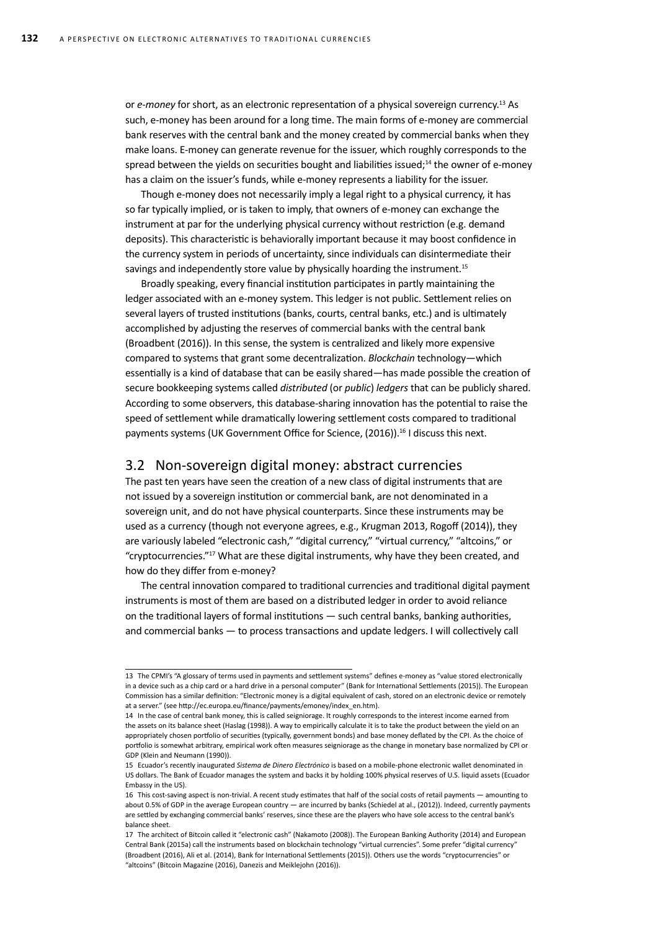or *e-money* for short, as an electronic representation of a physical sovereign currency.13 As such, e-money has been around for a long time. The main forms of e-money are commercial bank reserves with the central bank and the money created by commercial banks when they make loans. E-money can generate revenue for the issuer, which roughly corresponds to the spread between the yields on securities bought and liabilities issued;<sup>14</sup> the owner of e-money has a claim on the issuer's funds, while e-money represents a liability for the issuer.

Though e-money does not necessarily imply a legal right to a physical currency, it has so far typically implied, or is taken to imply, that owners of e-money can exchange the instrument at par for the underlying physical currency without restriction (e.g. demand deposits). This characteristic is behaviorally important because it may boost confidence in the currency system in periods of uncertainty, since individuals can disintermediate their savings and independently store value by physically hoarding the instrument.<sup>15</sup>

Broadly speaking, every financial institution participates in partly maintaining the ledger associated with an e-money system. This ledger is not public. Settlement relies on several layers of trusted institutions (banks, courts, central banks, etc.) and is ultimately accomplished by adjusting the reserves of commercial banks with the central bank (Broadbent (2016)). In this sense, the system is centralized and likely more expensive compared to systems that grant some decentralization. *Blockchain* technology—which essentially is a kind of database that can be easily shared—has made possible the creation of secure bookkeeping systems called *distributed* (or *public*) *ledgers* that can be publicly shared. According to some observers, this database-sharing innovation has the potential to raise the speed of settlement while dramatically lowering settlement costs compared to traditional payments systems (UK Government Office for Science, (2016)).<sup>16</sup> I discuss this next.

### 3.2 Non-sovereign digital money: abstract currencies

The past ten years have seen the creation of a new class of digital instruments that are not issued by a sovereign institution or commercial bank, are not denominated in a sovereign unit, and do not have physical counterparts. Since these instruments may be used as a currency (though not everyone agrees, e.g., Krugman 2013, Rogoff (2014)), they are variously labeled "electronic cash," "digital currency," "virtual currency," "altcoins," or "cryptocurrencies."17 What are these digital instruments, why have they been created, and how do they differ from e-money?

The central innovation compared to traditional currencies and traditional digital payment instruments is most of them are based on a distributed ledger in order to avoid reliance on the traditional layers of formal institutions — such central banks, banking authorities, and commercial banks — to process transactions and update ledgers. I will collectively call

<sup>13</sup> The CPMI's "A glossary of terms used in payments and settlement systems" defines e-money as "value stored electronically in a device such as a chip card or a hard drive in a personal computer" (Bank for International Settlements (2015)). The European Commission has a similar definition: "Electronic money is a digital equivalent of cash, stored on an electronic device or remotely at a server." (see http://ec.europa.eu/finance/payments/emoney/index\_en.htm).

<sup>14</sup> In the case of central bank money, this is called seigniorage. It roughly corresponds to the interest income earned from the assets on its balance sheet (Haslag (1998)). A way to empirically calculate it is to take the product between the yield on an appropriately chosen portfolio of securities (typically, government bonds) and base money deflated by the CPI. As the choice of portfolio is somewhat arbitrary, empirical work often measures seigniorage as the change in monetary base normalized by CPI or GDP (Klein and Neumann (1990)).

<sup>15</sup> Ecuador's recently inaugurated *Sistema de Dinero Electrónico* is based on a mobile-phone electronic wallet denominated in US dollars. The Bank of Ecuador manages the system and backs it by holding 100% physical reserves of U.S. liquid assets (Ecuador Embassy in the US).

<sup>16</sup> This cost-saving aspect is non-trivial. A recent study estimates that half of the social costs of retail payments — amounting to about 0.5% of GDP in the average European country — are incurred by banks (Schiedel at al., (2012)). Indeed, currently payments are settled by exchanging commercial banks' reserves, since these are the players who have sole access to the central bank's balance sheet.

<sup>17</sup> The architect of Bitcoin called it "electronic cash" (Nakamoto (2008)). The European Banking Authority (2014) and European Central Bank (2015a) call the instruments based on blockchain technology "virtual currencies". Some prefer "digital currency" (Broadbent (2016), Ali et al. (2014), Bank for International Settlements (2015)). Others use the words "cryptocurrencies" or "altcoins" (Bitcoin Magazine (2016), Danezis and Meiklejohn (2016)).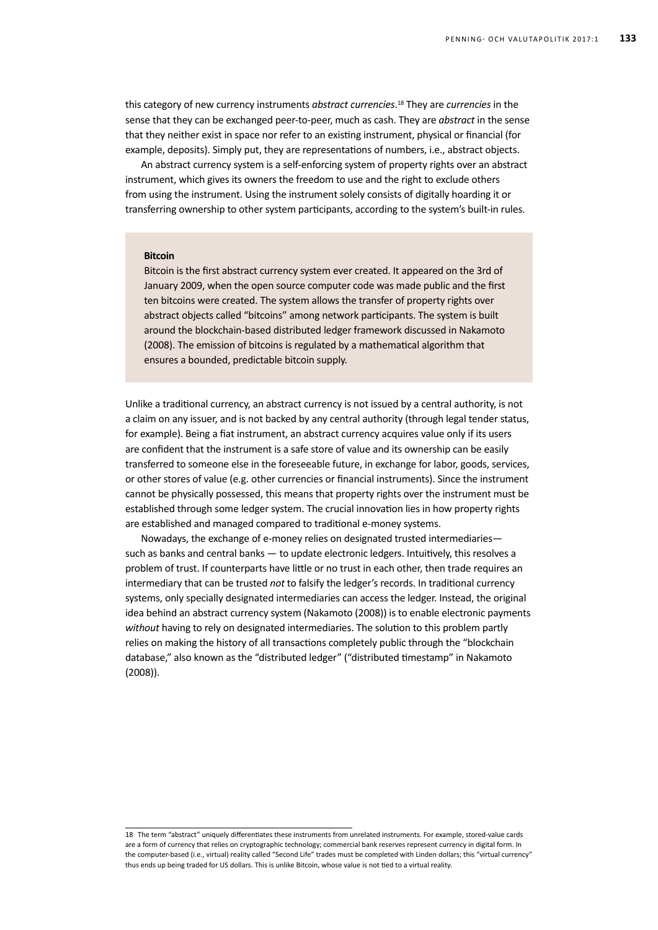this category of new currency instruments *abstract currencies*. 18 They are *currencies* in the sense that they can be exchanged peer-to-peer, much as cash. They are *abstract* in the sense that they neither exist in space nor refer to an existing instrument, physical or financial (for example, deposits). Simply put, they are representations of numbers, i.e., abstract objects.

An abstract currency system is a self-enforcing system of property rights over an abstract instrument, which gives its owners the freedom to use and the right to exclude others from using the instrument. Using the instrument solely consists of digitally hoarding it or transferring ownership to other system participants, according to the system's built-in rules.

#### **Bitcoin**

Bitcoin is the first abstract currency system ever created. It appeared on the 3rd of January 2009, when the open source computer code was made public and the first ten bitcoins were created. The system allows the transfer of property rights over abstract objects called "bitcoins" among network participants. The system is built around the blockchain-based distributed ledger framework discussed in Nakamoto (2008). The emission of bitcoins is regulated by a mathematical algorithm that ensures a bounded, predictable bitcoin supply.

Unlike a traditional currency, an abstract currency is not issued by a central authority, is not a claim on any issuer, and is not backed by any central authority (through legal tender status, for example). Being a fiat instrument, an abstract currency acquires value only if its users are confident that the instrument is a safe store of value and its ownership can be easily transferred to someone else in the foreseeable future, in exchange for labor, goods, services, or other stores of value (e.g. other currencies or financial instruments). Since the instrument cannot be physically possessed, this means that property rights over the instrument must be established through some ledger system. The crucial innovation lies in how property rights are established and managed compared to traditional e-money systems.

Nowadays, the exchange of e-money relies on designated trusted intermediaries such as banks and central banks — to update electronic ledgers. Intuitively, this resolves a problem of trust. If counterparts have little or no trust in each other, then trade requires an intermediary that can be trusted *not* to falsify the ledger's records. In traditional currency systems, only specially designated intermediaries can access the ledger. Instead, the original idea behind an abstract currency system (Nakamoto (2008)) is to enable electronic payments *without* having to rely on designated intermediaries. The solution to this problem partly relies on making the history of all transactions completely public through the "blockchain database," also known as the "distributed ledger" ("distributed timestamp" in Nakamoto (2008)).

<sup>18</sup> The term "abstract" uniquely differentiates these instruments from unrelated instruments. For example, stored-value cards are a form of currency that relies on cryptographic technology; commercial bank reserves represent currency in digital form. In the computer-based (i.e., virtual) reality called "Second Life" trades must be completed with Linden dollars; this "virtual currency" thus ends up being traded for US dollars. This is unlike Bitcoin, whose value is not tied to a virtual reality.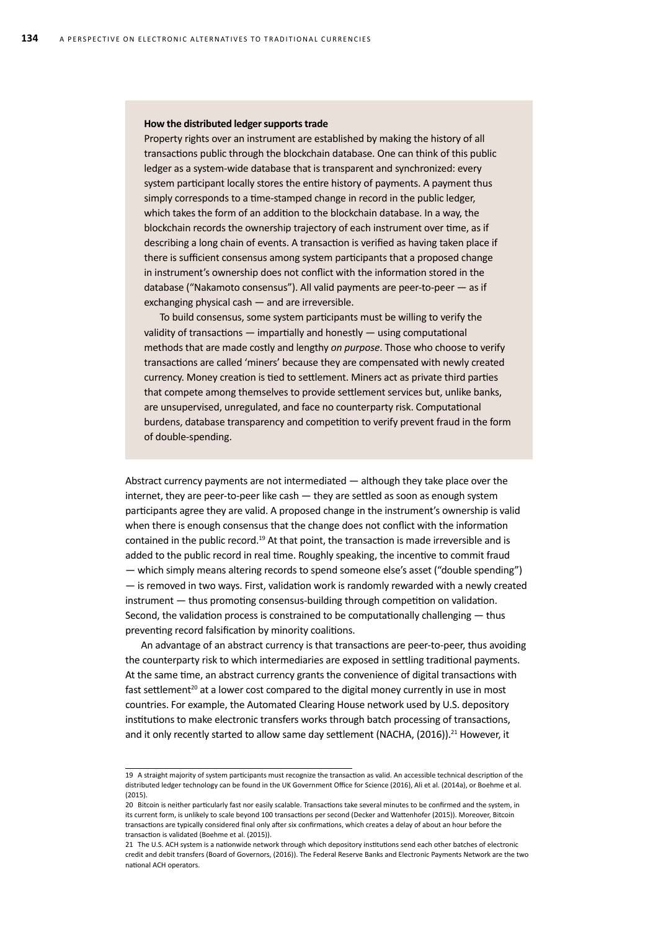#### **How the distributed ledger supports trade**

Property rights over an instrument are established by making the history of all transactions public through the blockchain database. One can think of this public ledger as a system-wide database that is transparent and synchronized: every system participant locally stores the entire history of payments. A payment thus simply corresponds to a time-stamped change in record in the public ledger, which takes the form of an addition to the blockchain database. In a way, the blockchain records the ownership trajectory of each instrument over time, as if describing a long chain of events. A transaction is verified as having taken place if there is sufficient consensus among system participants that a proposed change in instrument's ownership does not conflict with the information stored in the database ("Nakamoto consensus"). All valid payments are peer-to-peer — as if exchanging physical cash — and are irreversible.

To build consensus, some system participants must be willing to verify the validity of transactions — impartially and honestly — using computational methods that are made costly and lengthy *on purpose*. Those who choose to verify transactions are called 'miners' because they are compensated with newly created currency. Money creation is tied to settlement. Miners act as private third parties that compete among themselves to provide settlement services but, unlike banks, are unsupervised, unregulated, and face no counterparty risk. Computational burdens, database transparency and competition to verify prevent fraud in the form of double-spending.

Abstract currency payments are not intermediated — although they take place over the internet, they are peer-to-peer like cash — they are settled as soon as enough system participants agree they are valid. A proposed change in the instrument's ownership is valid when there is enough consensus that the change does not conflict with the information contained in the public record.19 At that point, the transaction is made irreversible and is added to the public record in real time. Roughly speaking, the incentive to commit fraud — which simply means altering records to spend someone else's asset ("double spending") — is removed in two ways. First, validation work is randomly rewarded with a newly created instrument — thus promoting consensus-building through competition on validation. Second, the validation process is constrained to be computationally challenging — thus preventing record falsification by minority coalitions.

An advantage of an abstract currency is that transactions are peer-to-peer, thus avoiding the counterparty risk to which intermediaries are exposed in settling traditional payments. At the same time, an abstract currency grants the convenience of digital transactions with fast settlement<sup>20</sup> at a lower cost compared to the digital money currently in use in most countries. For example, the Automated Clearing House network used by U.S. depository institutions to make electronic transfers works through batch processing of transactions, and it only recently started to allow same day settlement (NACHA,  $(2016)$ ).<sup>21</sup> However, it

<sup>19</sup> A straight majority of system participants must recognize the transaction as valid. An accessible technical description of the distributed ledger technology can be found in the UK Government Office for Science (2016), Ali et al. (2014a), or Boehme et al. (2015).

<sup>20</sup> Bitcoin is neither particularly fast nor easily scalable. Transactions take several minutes to be confirmed and the system, in its current form, is unlikely to scale beyond 100 transactions per second (Decker and Wattenhofer (2015)). Moreover, Bitcoin transactions are typically considered final only after six confirmations, which creates a delay of about an hour before the transaction is validated (Boehme et al. (2015)).

<sup>21</sup> The U.S. ACH system is a nationwide network through which depository institutions send each other batches of electronic credit and debit transfers (Board of Governors, (2016)). The Federal Reserve Banks and Electronic Payments Network are the two national ACH operators.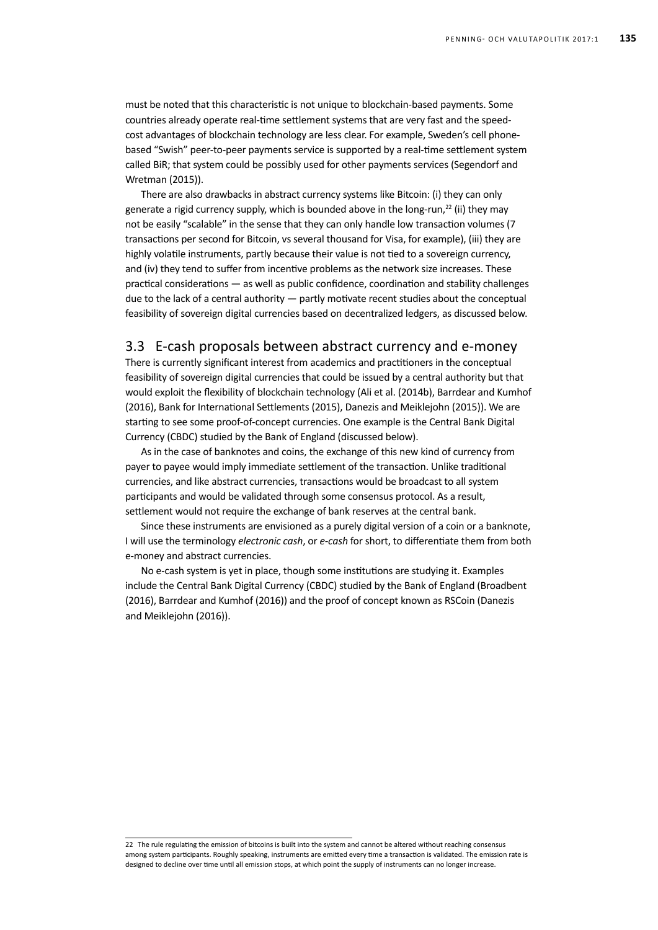must be noted that this characteristic is not unique to blockchain-based payments. Some countries already operate real-time settlement systems that are very fast and the speedcost advantages of blockchain technology are less clear. For example, Sweden's cell phonebased "Swish" peer-to-peer payments service is supported by a real-time settlement system called BiR; that system could be possibly used for other payments services (Segendorf and Wretman (2015)).

There are also drawbacks in abstract currency systems like Bitcoin: (i) they can only generate a rigid currency supply, which is bounded above in the long-run,<sup>22</sup> (ii) they may not be easily "scalable" in the sense that they can only handle low transaction volumes (7 transactions per second for Bitcoin, vs several thousand for Visa, for example), (iii) they are highly volatile instruments, partly because their value is not tied to a sovereign currency, and (iv) they tend to suffer from incentive problems as the network size increases. These practical considerations — as well as public confidence, coordination and stability challenges due to the lack of a central authority — partly motivate recent studies about the conceptual feasibility of sovereign digital currencies based on decentralized ledgers, as discussed below.

## 3.3 E-cash proposals between abstract currency and e-money

There is currently significant interest from academics and practitioners in the conceptual feasibility of sovereign digital currencies that could be issued by a central authority but that would exploit the flexibility of blockchain technology (Ali et al. (2014b), Barrdear and Kumhof (2016), Bank for International Settlements (2015), Danezis and Meiklejohn (2015)). We are starting to see some proof-of-concept currencies. One example is the Central Bank Digital Currency (CBDC) studied by the Bank of England (discussed below).

As in the case of banknotes and coins, the exchange of this new kind of currency from payer to payee would imply immediate settlement of the transaction. Unlike traditional currencies, and like abstract currencies, transactions would be broadcast to all system participants and would be validated through some consensus protocol. As a result, settlement would not require the exchange of bank reserves at the central bank.

Since these instruments are envisioned as a purely digital version of a coin or a banknote, I will use the terminology *electronic cash*, or *e-cash* for short, to differentiate them from both e-money and abstract currencies.

No e-cash system is yet in place, though some institutions are studying it. Examples include the Central Bank Digital Currency (CBDC) studied by the Bank of England (Broadbent (2016), Barrdear and Kumhof (2016)) and the proof of concept known as RSCoin (Danezis and Meiklejohn (2016)).

<sup>22</sup> The rule regulating the emission of bitcoins is built into the system and cannot be altered without reaching consensus among system participants. Roughly speaking, instruments are emitted every time a transaction is validated. The emission rate is designed to decline over time until all emission stops, at which point the supply of instruments can no longer increase.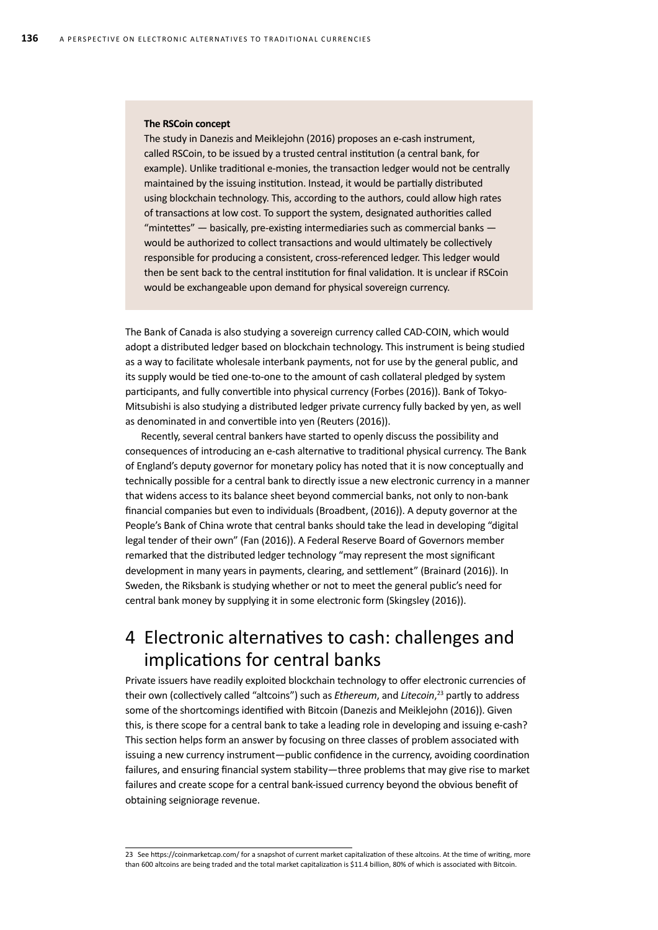#### **The RSCoin concept**

The study in Danezis and Meiklejohn (2016) proposes an e-cash instrument, called RSCoin, to be issued by a trusted central institution (a central bank, for example). Unlike traditional e-monies, the transaction ledger would not be centrally maintained by the issuing institution. Instead, it would be partially distributed using blockchain technology. This, according to the authors, could allow high rates of transactions at low cost. To support the system, designated authorities called "mintettes" — basically, pre-existing intermediaries such as commercial banks would be authorized to collect transactions and would ultimately be collectively responsible for producing a consistent, cross-referenced ledger. This ledger would then be sent back to the central institution for final validation. It is unclear if RSCoin would be exchangeable upon demand for physical sovereign currency.

The Bank of Canada is also studying a sovereign currency called CAD-COIN, which would adopt a distributed ledger based on blockchain technology. This instrument is being studied as a way to facilitate wholesale interbank payments, not for use by the general public, and its supply would be tied one-to-one to the amount of cash collateral pledged by system participants, and fully convertible into physical currency (Forbes (2016)). Bank of Tokyo-Mitsubishi is also studying a distributed ledger private currency fully backed by yen, as well as denominated in and convertible into yen (Reuters (2016)).

Recently, several central bankers have started to openly discuss the possibility and consequences of introducing an e-cash alternative to traditional physical currency. The Bank of England's deputy governor for monetary policy has noted that it is now conceptually and technically possible for a central bank to directly issue a new electronic currency in a manner that widens access to its balance sheet beyond commercial banks, not only to non-bank financial companies but even to individuals (Broadbent, (2016)). A deputy governor at the People's Bank of China wrote that central banks should take the lead in developing "digital legal tender of their own" (Fan (2016)). A Federal Reserve Board of Governors member remarked that the distributed ledger technology "may represent the most significant development in many years in payments, clearing, and settlement" (Brainard (2016)). In Sweden, the Riksbank is studying whether or not to meet the general public's need for central bank money by supplying it in some electronic form (Skingsley (2016)).

## 4 Electronic alternatives to cash: challenges and implications for central banks

Private issuers have readily exploited blockchain technology to offer electronic currencies of their own (collectively called "altcoins") such as *Ethereum*, and *Litecoin*, 23 partly to address some of the shortcomings identified with Bitcoin (Danezis and Meiklejohn (2016)). Given this, is there scope for a central bank to take a leading role in developing and issuing e-cash? This section helps form an answer by focusing on three classes of problem associated with issuing a new currency instrument—public confidence in the currency, avoiding coordination failures, and ensuring financial system stability—three problems that may give rise to market failures and create scope for a central bank-issued currency beyond the obvious benefit of obtaining seigniorage revenue.

<sup>23</sup> See https://coinmarketcap.com/ for a snapshot of current market capitalization of these altcoins. At the time of writing, more than 600 altcoins are being traded and the total market capitalization is \$11.4 billion, 80% of which is associated with Bitcoin.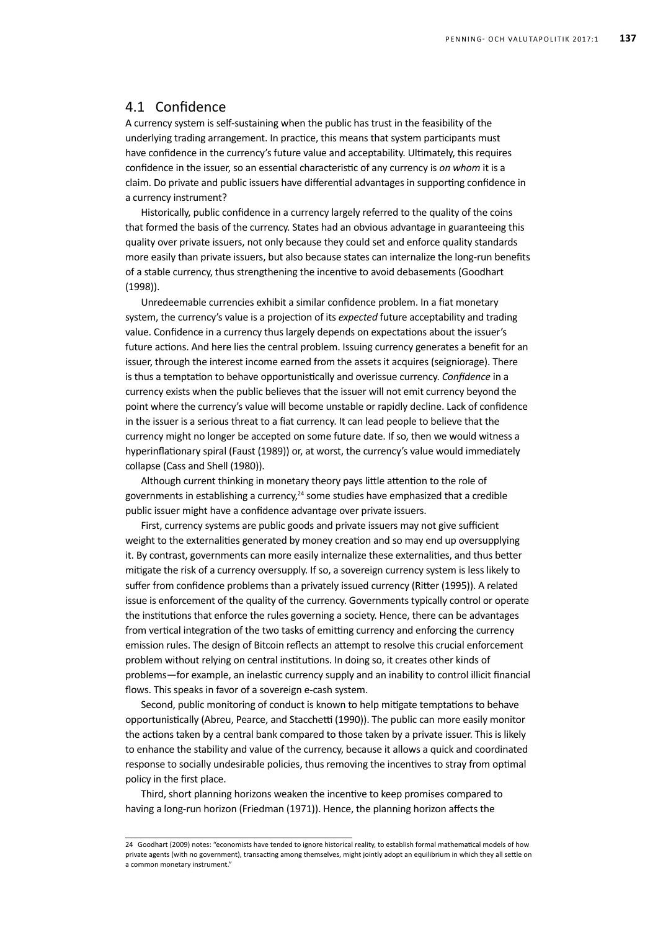## 4.1 Confidence

A currency system is self-sustaining when the public has trust in the feasibility of the underlying trading arrangement. In practice, this means that system participants must have confidence in the currency's future value and acceptability. Ultimately, this requires confidence in the issuer, so an essential characteristic of any currency is *on whom* it is a claim. Do private and public issuers have differential advantages in supporting confidence in a currency instrument?

Historically, public confidence in a currency largely referred to the quality of the coins that formed the basis of the currency. States had an obvious advantage in guaranteeing this quality over private issuers, not only because they could set and enforce quality standards more easily than private issuers, but also because states can internalize the long-run benefits of a stable currency, thus strengthening the incentive to avoid debasements (Goodhart (1998)).

Unredeemable currencies exhibit a similar confidence problem. In a fiat monetary system, the currency's value is a projection of its *expected* future acceptability and trading value. Confidence in a currency thus largely depends on expectations about the issuer's future actions. And here lies the central problem. Issuing currency generates a benefit for an issuer, through the interest income earned from the assets it acquires (seigniorage). There is thus a temptation to behave opportunistically and overissue currency. *Confidence* in a currency exists when the public believes that the issuer will not emit currency beyond the point where the currency's value will become unstable or rapidly decline. Lack of confidence in the issuer is a serious threat to a fiat currency. It can lead people to believe that the currency might no longer be accepted on some future date. If so, then we would witness a hyperinflationary spiral (Faust (1989)) or, at worst, the currency's value would immediately collapse (Cass and Shell (1980)).

Although current thinking in monetary theory pays little attention to the role of governments in establishing a currency, $24$  some studies have emphasized that a credible public issuer might have a confidence advantage over private issuers.

First, currency systems are public goods and private issuers may not give sufficient weight to the externalities generated by money creation and so may end up oversupplying it. By contrast, governments can more easily internalize these externalities, and thus better mitigate the risk of a currency oversupply. If so, a sovereign currency system is less likely to suffer from confidence problems than a privately issued currency (Ritter (1995)). A related issue is enforcement of the quality of the currency. Governments typically control or operate the institutions that enforce the rules governing a society. Hence, there can be advantages from vertical integration of the two tasks of emitting currency and enforcing the currency emission rules. The design of Bitcoin reflects an attempt to resolve this crucial enforcement problem without relying on central institutions. In doing so, it creates other kinds of problems—for example, an inelastic currency supply and an inability to control illicit financial flows. This speaks in favor of a sovereign e-cash system.

Second, public monitoring of conduct is known to help mitigate temptations to behave opportunistically (Abreu, Pearce, and Stacchetti (1990)). The public can more easily monitor the actions taken by a central bank compared to those taken by a private issuer. This is likely to enhance the stability and value of the currency, because it allows a quick and coordinated response to socially undesirable policies, thus removing the incentives to stray from optimal policy in the first place.

Third, short planning horizons weaken the incentive to keep promises compared to having a long-run horizon (Friedman (1971)). Hence, the planning horizon affects the

<sup>24</sup> Goodhart (2009) notes: "economists have tended to ignore historical reality, to establish formal mathematical models of how private agents (with no government), transacting among themselves, might jointly adopt an equilibrium in which they all settle on a common monetary instrument."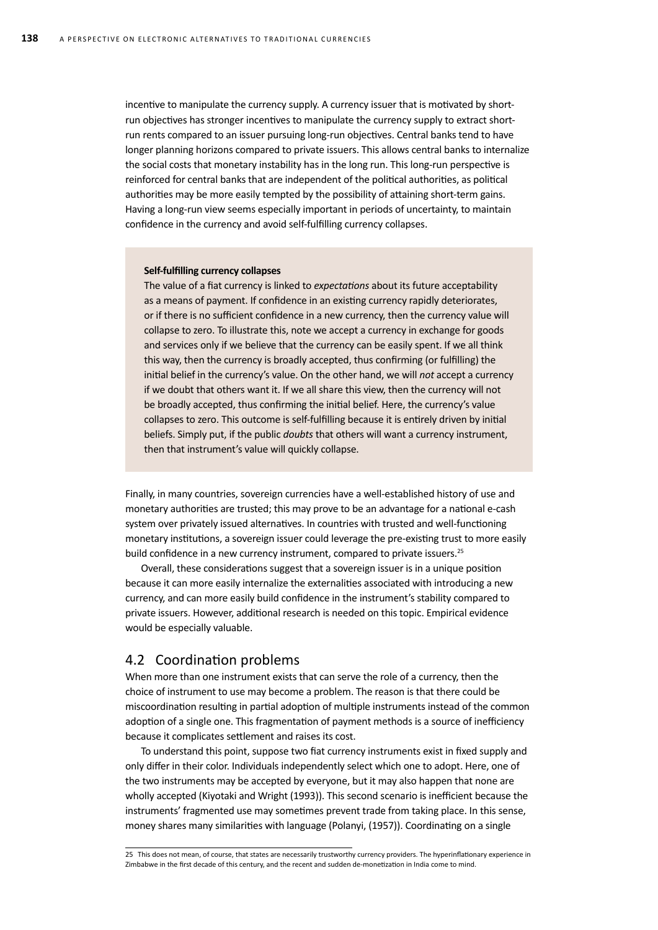incentive to manipulate the currency supply. A currency issuer that is motivated by shortrun objectives has stronger incentives to manipulate the currency supply to extract shortrun rents compared to an issuer pursuing long-run objectives. Central banks tend to have longer planning horizons compared to private issuers. This allows central banks to internalize the social costs that monetary instability has in the long run. This long-run perspective is reinforced for central banks that are independent of the political authorities, as political authorities may be more easily tempted by the possibility of attaining short-term gains. Having a long-run view seems especially important in periods of uncertainty, to maintain confidence in the currency and avoid self-fulfilling currency collapses.

### **Self-fulfilling currency collapses**

The value of a fiat currency is linked to *expectations* about its future acceptability as a means of payment. If confidence in an existing currency rapidly deteriorates, or if there is no sufficient confidence in a new currency, then the currency value will collapse to zero. To illustrate this, note we accept a currency in exchange for goods and services only if we believe that the currency can be easily spent. If we all think this way, then the currency is broadly accepted, thus confirming (or fulfilling) the initial belief in the currency's value. On the other hand, we will *not* accept a currency if we doubt that others want it. If we all share this view, then the currency will not be broadly accepted, thus confirming the initial belief. Here, the currency's value collapses to zero. This outcome is self-fulfilling because it is entirely driven by initial beliefs. Simply put, if the public *doubts* that others will want a currency instrument, then that instrument's value will quickly collapse.

Finally, in many countries, sovereign currencies have a well-established history of use and monetary authorities are trusted; this may prove to be an advantage for a national e-cash system over privately issued alternatives. In countries with trusted and well-functioning monetary institutions, a sovereign issuer could leverage the pre-existing trust to more easily build confidence in a new currency instrument, compared to private issuers.<sup>25</sup>

Overall, these considerations suggest that a sovereign issuer is in a unique position because it can more easily internalize the externalities associated with introducing a new currency, and can more easily build confidence in the instrument's stability compared to private issuers. However, additional research is needed on this topic. Empirical evidence would be especially valuable.

### 4.2 Coordination problems

When more than one instrument exists that can serve the role of a currency, then the choice of instrument to use may become a problem. The reason is that there could be miscoordination resulting in partial adoption of multiple instruments instead of the common adoption of a single one. This fragmentation of payment methods is a source of inefficiency because it complicates settlement and raises its cost.

To understand this point, suppose two fiat currency instruments exist in fixed supply and only differ in their color. Individuals independently select which one to adopt. Here, one of the two instruments may be accepted by everyone, but it may also happen that none are wholly accepted (Kiyotaki and Wright (1993)). This second scenario is inefficient because the instruments' fragmented use may sometimes prevent trade from taking place. In this sense, money shares many similarities with language (Polanyi, (1957)). Coordinating on a single

<sup>25</sup> This does not mean, of course, that states are necessarily trustworthy currency providers. The hyperinflationary experience in Zimbabwe in the first decade of this century, and the recent and sudden de-monetization in India come to mind.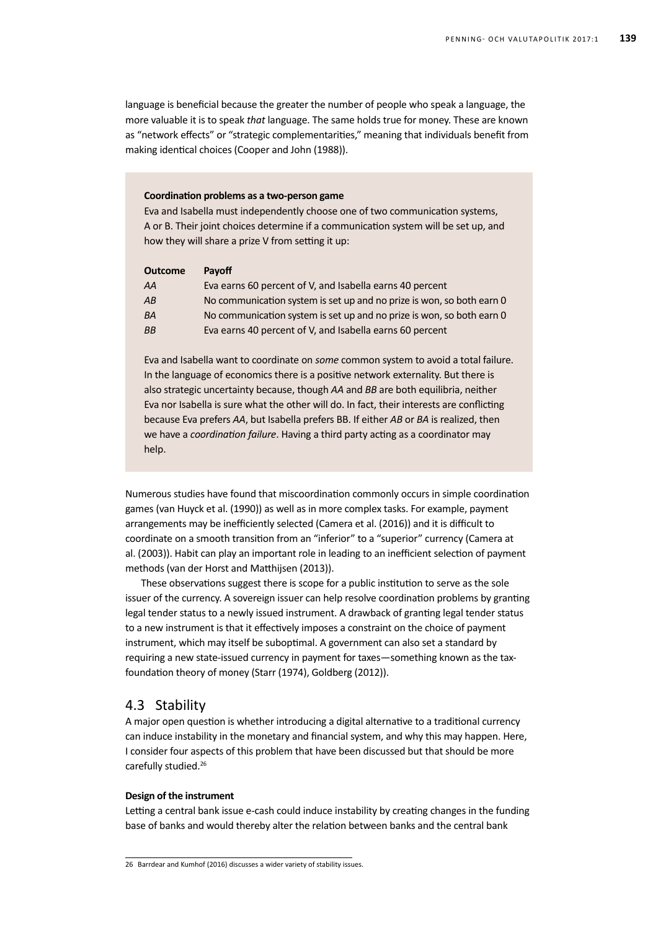language is beneficial because the greater the number of people who speak a language, the more valuable it is to speak *that* language. The same holds true for money. These are known as "network effects" or "strategic complementarities," meaning that individuals benefit from making identical choices (Cooper and John (1988)).

### **Coordination problems as a two-person game**

Eva and Isabella must independently choose one of two communication systems, A or B. Their joint choices determine if a communication system will be set up, and how they will share a prize V from setting it up:

| <b>Outcome</b> | Payoff                                                                |
|----------------|-----------------------------------------------------------------------|
| AA             | Eva earns 60 percent of V, and Isabella earns 40 percent              |
| AB             | No communication system is set up and no prize is won, so both earn 0 |
| <b>BA</b>      | No communication system is set up and no prize is won, so both earn 0 |
| <b>BB</b>      | Eva earns 40 percent of V, and Isabella earns 60 percent              |

Eva and Isabella want to coordinate on *some* common system to avoid a total failure. In the language of economics there is a positive network externality. But there is also strategic uncertainty because, though *AA* and *BB* are both equilibria, neither Eva nor Isabella is sure what the other will do. In fact, their interests are conflicting because Eva prefers *AA*, but Isabella prefers BB. If either *AB* or *BA* is realized, then we have a *coordination failure*. Having a third party acting as a coordinator may help.

Numerous studies have found that miscoordination commonly occurs in simple coordination games (van Huyck et al. (1990)) as well as in more complex tasks. For example, payment arrangements may be inefficiently selected (Camera et al. (2016)) and it is difficult to coordinate on a smooth transition from an "inferior" to a "superior" currency (Camera at al. (2003)). Habit can play an important role in leading to an inefficient selection of payment methods (van der Horst and Matthijsen (2013)).

These observations suggest there is scope for a public institution to serve as the sole issuer of the currency. A sovereign issuer can help resolve coordination problems by granting legal tender status to a newly issued instrument. A drawback of granting legal tender status to a new instrument is that it effectively imposes a constraint on the choice of payment instrument, which may itself be suboptimal. A government can also set a standard by requiring a new state-issued currency in payment for taxes—something known as the taxfoundation theory of money (Starr (1974), Goldberg (2012)).

### 4.3 Stability

A major open question is whether introducing a digital alternative to a traditional currency can induce instability in the monetary and financial system, and why this may happen. Here, I consider four aspects of this problem that have been discussed but that should be more carefully studied.<sup>26</sup>

### **Design of the instrument**

Letting a central bank issue e-cash could induce instability by creating changes in the funding base of banks and would thereby alter the relation between banks and the central bank

<sup>26</sup> Barrdear and Kumhof (2016) discusses a wider variety of stability issues.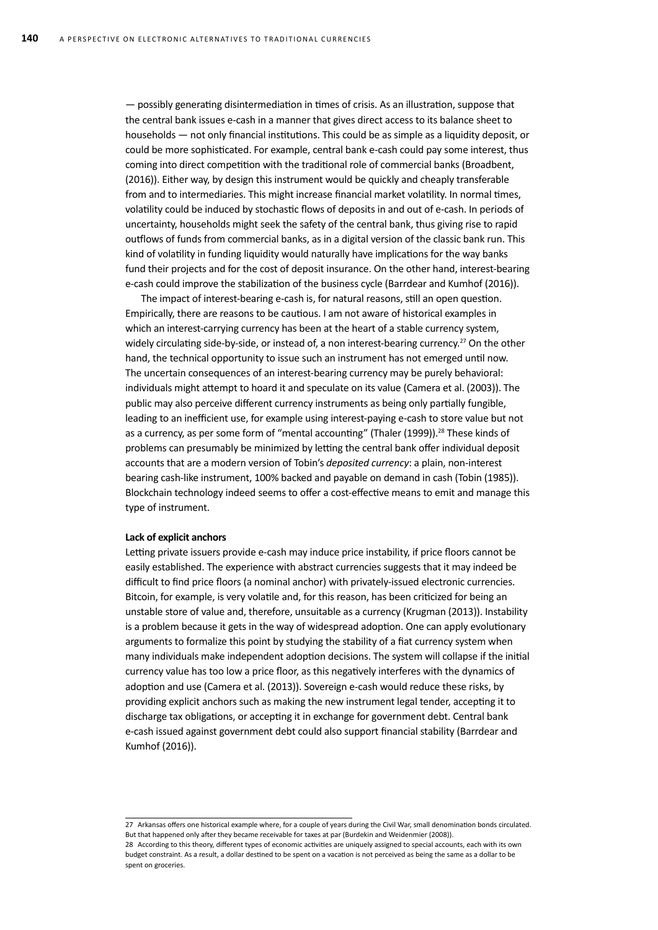— possibly generating disintermediation in times of crisis. As an illustration, suppose that the central bank issues e-cash in a manner that gives direct access to its balance sheet to households — not only financial institutions. This could be as simple as a liquidity deposit, or could be more sophisticated. For example, central bank e-cash could pay some interest, thus coming into direct competition with the traditional role of commercial banks (Broadbent, (2016)). Either way, by design this instrument would be quickly and cheaply transferable from and to intermediaries. This might increase financial market volatility. In normal times, volatility could be induced by stochastic flows of deposits in and out of e-cash. In periods of uncertainty, households might seek the safety of the central bank, thus giving rise to rapid outflows of funds from commercial banks, as in a digital version of the classic bank run. This kind of volatility in funding liquidity would naturally have implications for the way banks fund their projects and for the cost of deposit insurance. On the other hand, interest-bearing e-cash could improve the stabilization of the business cycle (Barrdear and Kumhof (2016)).

The impact of interest-bearing e-cash is, for natural reasons, still an open question. Empirically, there are reasons to be cautious. I am not aware of historical examples in which an interest-carrying currency has been at the heart of a stable currency system, widely circulating side-by-side, or instead of, a non interest-bearing currency.<sup>27</sup> On the other hand, the technical opportunity to issue such an instrument has not emerged until now. The uncertain consequences of an interest-bearing currency may be purely behavioral: individuals might attempt to hoard it and speculate on its value (Camera et al. (2003)). The public may also perceive different currency instruments as being only partially fungible, leading to an inefficient use, for example using interest-paying e-cash to store value but not as a currency, as per some form of "mental accounting" (Thaler (1999)).<sup>28</sup> These kinds of problems can presumably be minimized by letting the central bank offer individual deposit accounts that are a modern version of Tobin's *deposited currency*: a plain, non-interest bearing cash-like instrument, 100% backed and payable on demand in cash (Tobin (1985)). Blockchain technology indeed seems to offer a cost-effective means to emit and manage this type of instrument.

### **Lack of explicit anchors**

spent on groceries.

Letting private issuers provide e-cash may induce price instability, if price floors cannot be easily established. The experience with abstract currencies suggests that it may indeed be difficult to find price floors (a nominal anchor) with privately-issued electronic currencies. Bitcoin, for example, is very volatile and, for this reason, has been criticized for being an unstable store of value and, therefore, unsuitable as a currency (Krugman (2013)). Instability is a problem because it gets in the way of widespread adoption. One can apply evolutionary arguments to formalize this point by studying the stability of a fiat currency system when many individuals make independent adoption decisions. The system will collapse if the initial currency value has too low a price floor, as this negatively interferes with the dynamics of adoption and use (Camera et al. (2013)). Sovereign e-cash would reduce these risks, by providing explicit anchors such as making the new instrument legal tender, accepting it to discharge tax obligations, or accepting it in exchange for government debt. Central bank e-cash issued against government debt could also support financial stability (Barrdear and Kumhof (2016)).

<sup>27</sup> Arkansas offers one historical example where, for a couple of years during the Civil War, small denomination bonds circulated. But that happened only after they became receivable for taxes at par (Burdekin and Weidenmier (2008)). 28 According to this theory, different types of economic activities are uniquely assigned to special accounts, each with its own budget constraint. As a result, a dollar destined to be spent on a vacation is not perceived as being the same as a dollar to be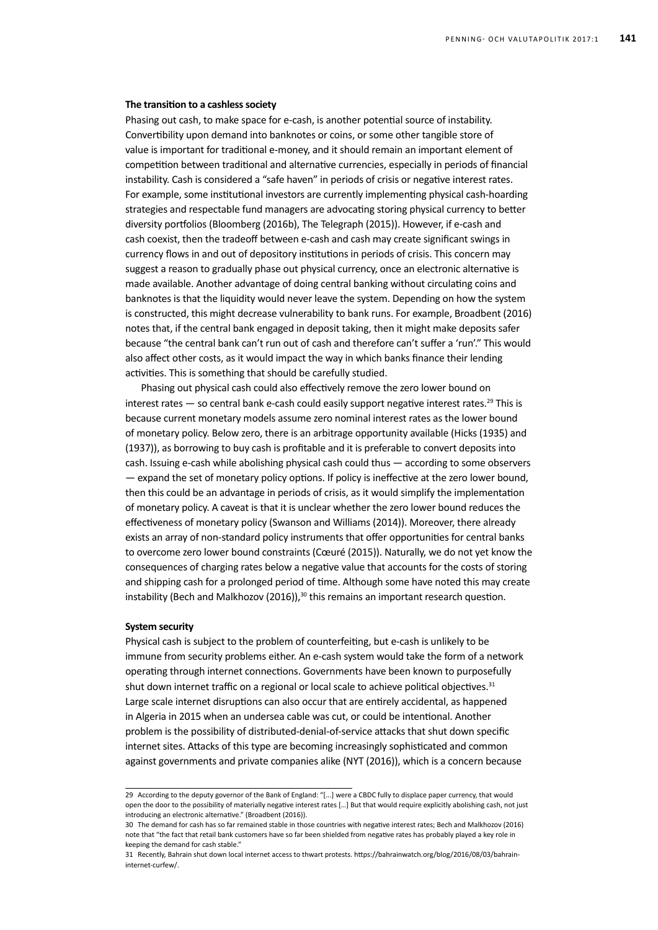#### **The transition to a cashless society**

Phasing out cash, to make space for e-cash, is another potential source of instability. Convertibility upon demand into banknotes or coins, or some other tangible store of value is important for traditional e-money, and it should remain an important element of competition between traditional and alternative currencies, especially in periods of financial instability. Cash is considered a "safe haven" in periods of crisis or negative interest rates. For example, some institutional investors are currently implementing physical cash-hoarding strategies and respectable fund managers are advocating storing physical currency to better diversity portfolios (Bloomberg (2016b), The Telegraph (2015)). However, if e-cash and cash coexist, then the tradeoff between e-cash and cash may create significant swings in currency flows in and out of depository institutions in periods of crisis. This concern may suggest a reason to gradually phase out physical currency, once an electronic alternative is made available. Another advantage of doing central banking without circulating coins and banknotes is that the liquidity would never leave the system. Depending on how the system is constructed, this might decrease vulnerability to bank runs. For example, Broadbent (2016) notes that, if the central bank engaged in deposit taking, then it might make deposits safer because "the central bank can't run out of cash and therefore can't suffer a 'run'." This would also affect other costs, as it would impact the way in which banks finance their lending activities. This is something that should be carefully studied.

Phasing out physical cash could also effectively remove the zero lower bound on interest rates  $-$  so central bank e-cash could easily support negative interest rates.<sup>29</sup> This is because current monetary models assume zero nominal interest rates as the lower bound of monetary policy. Below zero, there is an arbitrage opportunity available (Hicks (1935) and (1937)), as borrowing to buy cash is profitable and it is preferable to convert deposits into cash. Issuing e-cash while abolishing physical cash could thus — according to some observers — expand the set of monetary policy options. If policy is ineffective at the zero lower bound, then this could be an advantage in periods of crisis, as it would simplify the implementation of monetary policy. A caveat is that it is unclear whether the zero lower bound reduces the effectiveness of monetary policy (Swanson and Williams (2014)). Moreover, there already exists an array of non-standard policy instruments that offer opportunities for central banks to overcome zero lower bound constraints (Cœuré (2015)). Naturally, we do not yet know the consequences of charging rates below a negative value that accounts for the costs of storing and shipping cash for a prolonged period of time. Although some have noted this may create instability (Bech and Malkhozov (2016)), $30$  this remains an important research question.

### **System security**

Physical cash is subject to the problem of counterfeiting, but e-cash is unlikely to be immune from security problems either. An e-cash system would take the form of a network operating through internet connections. Governments have been known to purposefully shut down internet traffic on a regional or local scale to achieve political objectives. $31$ Large scale internet disruptions can also occur that are entirely accidental, as happened in Algeria in 2015 when an undersea cable was cut, or could be intentional. Another problem is the possibility of distributed-denial-of-service attacks that shut down specific internet sites. Attacks of this type are becoming increasingly sophisticated and common against governments and private companies alike (NYT (2016)), which is a concern because

<sup>29</sup> According to the deputy governor of the Bank of England: "[...] were a CBDC fully to displace paper currency, that would open the door to the possibility of materially negative interest rates […] But that would require explicitly abolishing cash, not just introducing an electronic alternative." (Broadbent (2016)).

<sup>30</sup> The demand for cash has so far remained stable in those countries with negative interest rates; Bech and Malkhozov (2016) note that "the fact that retail bank customers have so far been shielded from negative rates has probably played a key role in keeping the demand for cash stable."

<sup>31</sup> Recently, Bahrain shut down local internet access to thwart protests. https://bahrainwatch.org/blog/2016/08/03/bahraininternet-curfew/.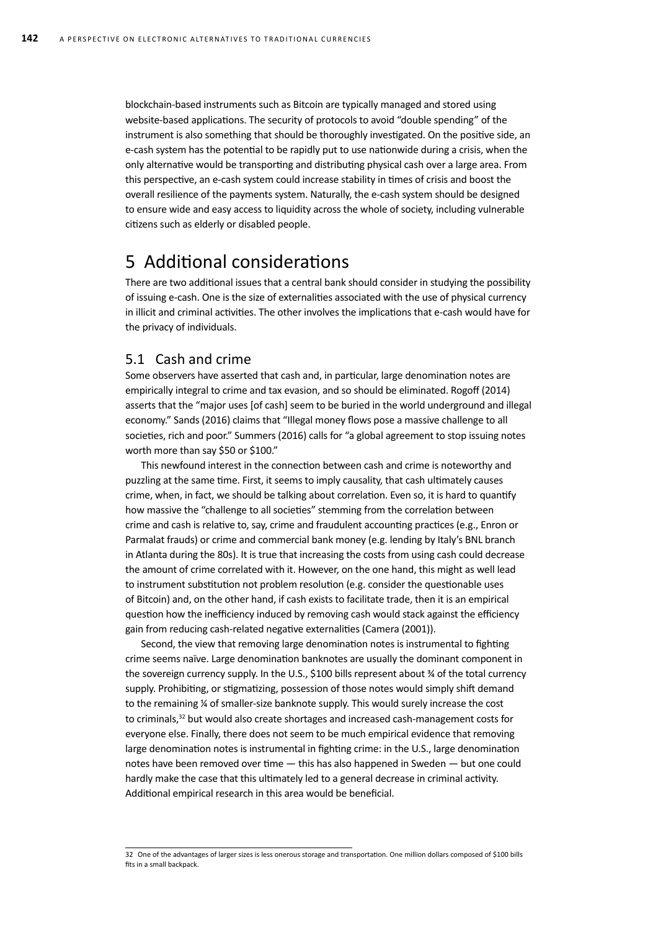blockchain-based instruments such as Bitcoin are typically managed and stored using website-based applications. The security of protocols to avoid "double spending" of the instrument is also something that should be thoroughly investigated. On the positive side, an e-cash system has the potential to be rapidly put to use nationwide during a crisis, when the only alternative would be transporting and distributing physical cash over a large area. From this perspective, an e-cash system could increase stability in times of crisis and boost the overall resilience of the payments system. Naturally, the e-cash system should be designed to ensure wide and easy access to liquidity across the whole of society, including vulnerable citizens such as elderly or disabled people.

## 5 Additional considerations

There are two additional issues that a central bank should consider in studying the possibility of issuing e-cash. One is the size of externalities associated with the use of physical currency in illicit and criminal activities. The other involves the implications that e-cash would have for the privacy of individuals.

## 5.1 Cash and crime

Some observers have asserted that cash and, in particular, large denomination notes are empirically integral to crime and tax evasion, and so should be eliminated. Rogoff (2014) asserts that the "major uses [of cash] seem to be buried in the world underground and illegal economy." Sands (2016) claims that "Illegal money flows pose a massive challenge to all societies, rich and poor." Summers (2016) calls for "a global agreement to stop issuing notes worth more than say \$50 or \$100."

This newfound interest in the connection between cash and crime is noteworthy and puzzling at the same time. First, it seems to imply causality, that cash ultimately causes crime, when, in fact, we should be talking about correlation. Even so, it is hard to quantify how massive the "challenge to all societies" stemming from the correlation between crime and cash is relative to, say, crime and fraudulent accounting practices (e.g., Enron or Parmalat frauds) or crime and commercial bank money (e.g. lending by Italy's BNL branch in Atlanta during the 80s). It is true that increasing the costs from using cash could decrease the amount of crime correlated with it. However, on the one hand, this might as well lead to instrument substitution not problem resolution (e.g. consider the questionable uses of Bitcoin) and, on the other hand, if cash exists to facilitate trade, then it is an empirical question how the inefficiency induced by removing cash would stack against the efficiency gain from reducing cash-related negative externalities (Camera (2001)).

Second, the view that removing large denomination notes is instrumental to fighting crime seems naïve. Large denomination banknotes are usually the dominant component in the sovereign currency supply. In the U.S., \$100 bills represent about ¾ of the total currency supply. Prohibiting, or stigmatizing, possession of those notes would simply shift demand to the remaining ¼ of smaller-size banknote supply. This would surely increase the cost to criminals,<sup>32</sup> but would also create shortages and increased cash-management costs for everyone else. Finally, there does not seem to be much empirical evidence that removing large denomination notes is instrumental in fighting crime: in the U.S., large denomination notes have been removed over time — this has also happened in Sweden — but one could hardly make the case that this ultimately led to a general decrease in criminal activity. Additional empirical research in this area would be beneficial.

<sup>32</sup> One of the advantages of larger sizes is less onerous storage and transportation. One million dollars composed of \$100 bills fits in a small backpack.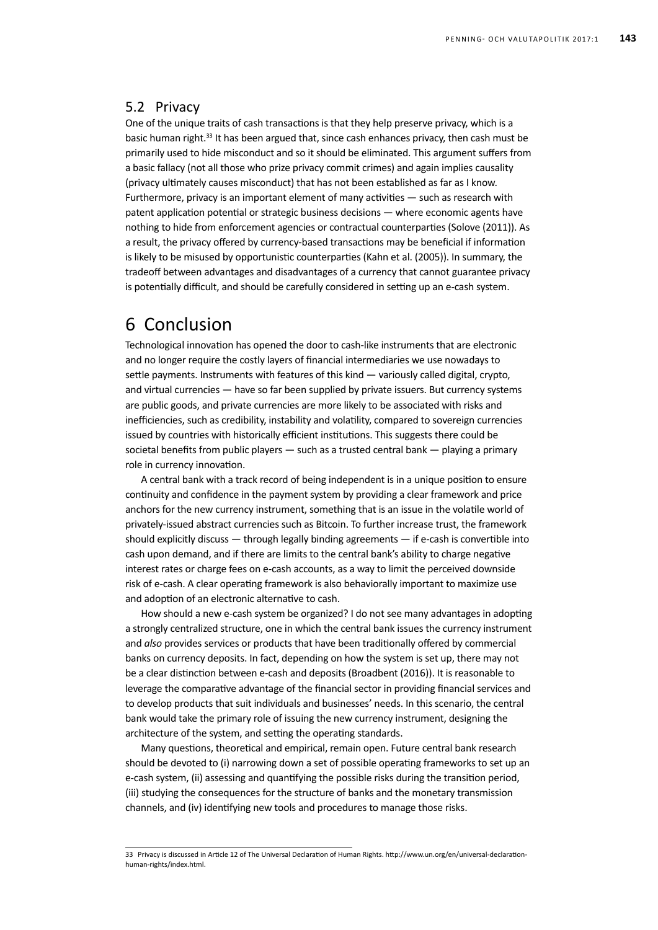## 5.2 Privacy

One of the unique traits of cash transactions is that they help preserve privacy, which is a basic human right.<sup>33</sup> It has been argued that, since cash enhances privacy, then cash must be primarily used to hide misconduct and so it should be eliminated. This argument suffers from a basic fallacy (not all those who prize privacy commit crimes) and again implies causality (privacy ultimately causes misconduct) that has not been established as far as I know. Furthermore, privacy is an important element of many activities — such as research with patent application potential or strategic business decisions — where economic agents have nothing to hide from enforcement agencies or contractual counterparties (Solove (2011)). As a result, the privacy offered by currency-based transactions may be beneficial if information is likely to be misused by opportunistic counterparties (Kahn et al. (2005)). In summary, the tradeoff between advantages and disadvantages of a currency that cannot guarantee privacy is potentially difficult, and should be carefully considered in setting up an e-cash system.

## 6 Conclusion

Technological innovation has opened the door to cash-like instruments that are electronic and no longer require the costly layers of financial intermediaries we use nowadays to settle payments. Instruments with features of this kind — variously called digital, crypto, and virtual currencies — have so far been supplied by private issuers. But currency systems are public goods, and private currencies are more likely to be associated with risks and inefficiencies, such as credibility, instability and volatility, compared to sovereign currencies issued by countries with historically efficient institutions. This suggests there could be societal benefits from public players — such as a trusted central bank — playing a primary role in currency innovation.

A central bank with a track record of being independent is in a unique position to ensure continuity and confidence in the payment system by providing a clear framework and price anchors for the new currency instrument, something that is an issue in the volatile world of privately-issued abstract currencies such as Bitcoin. To further increase trust, the framework should explicitly discuss — through legally binding agreements — if e-cash is convertible into cash upon demand, and if there are limits to the central bank's ability to charge negative interest rates or charge fees on e-cash accounts, as a way to limit the perceived downside risk of e-cash. A clear operating framework is also behaviorally important to maximize use and adoption of an electronic alternative to cash.

How should a new e-cash system be organized? I do not see many advantages in adopting a strongly centralized structure, one in which the central bank issues the currency instrument and *also* provides services or products that have been traditionally offered by commercial banks on currency deposits. In fact, depending on how the system is set up, there may not be a clear distinction between e-cash and deposits (Broadbent (2016)). It is reasonable to leverage the comparative advantage of the financial sector in providing financial services and to develop products that suit individuals and businesses' needs. In this scenario, the central bank would take the primary role of issuing the new currency instrument, designing the architecture of the system, and setting the operating standards.

Many questions, theoretical and empirical, remain open. Future central bank research should be devoted to (i) narrowing down a set of possible operating frameworks to set up an e-cash system, (ii) assessing and quantifying the possible risks during the transition period, (iii) studying the consequences for the structure of banks and the monetary transmission channels, and (iv) identifying new tools and procedures to manage those risks.

<sup>33</sup> Privacy is discussed in Article 12 of The Universal Declaration of Human Rights. http://www.un.org/en/universal-declarationhuman-rights/index.html.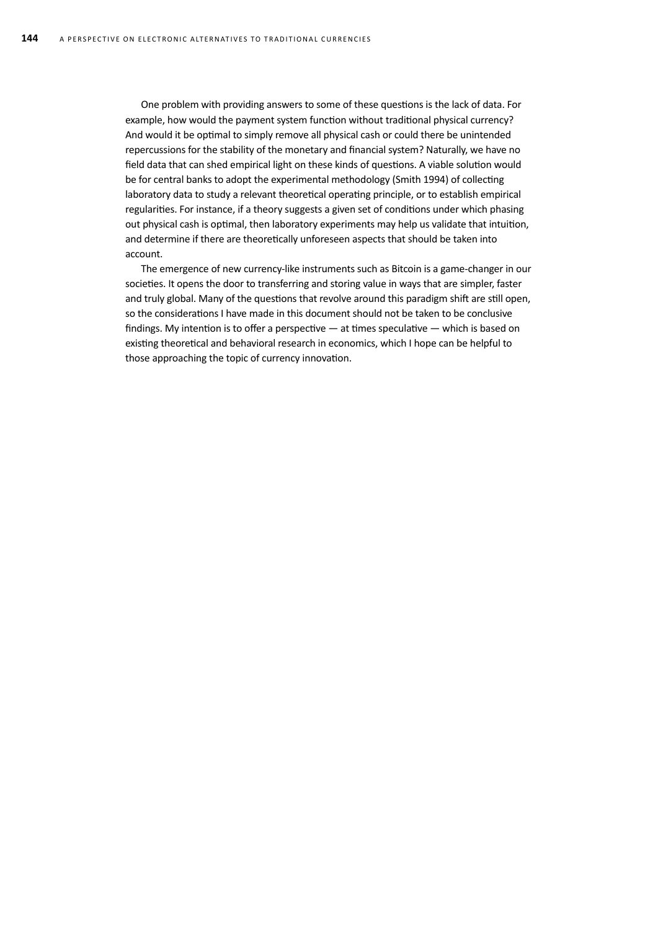One problem with providing answers to some of these questions is the lack of data. For example, how would the payment system function without traditional physical currency? And would it be optimal to simply remove all physical cash or could there be unintended repercussions for the stability of the monetary and financial system? Naturally, we have no field data that can shed empirical light on these kinds of questions. A viable solution would be for central banks to adopt the experimental methodology (Smith 1994) of collecting laboratory data to study a relevant theoretical operating principle, or to establish empirical regularities. For instance, if a theory suggests a given set of conditions under which phasing out physical cash is optimal, then laboratory experiments may help us validate that intuition, and determine if there are theoretically unforeseen aspects that should be taken into account.

The emergence of new currency-like instruments such as Bitcoin is a game-changer in our societies. It opens the door to transferring and storing value in ways that are simpler, faster and truly global. Many of the questions that revolve around this paradigm shift are still open, so the considerations I have made in this document should not be taken to be conclusive findings. My intention is to offer a perspective — at times speculative — which is based on existing theoretical and behavioral research in economics, which I hope can be helpful to those approaching the topic of currency innovation.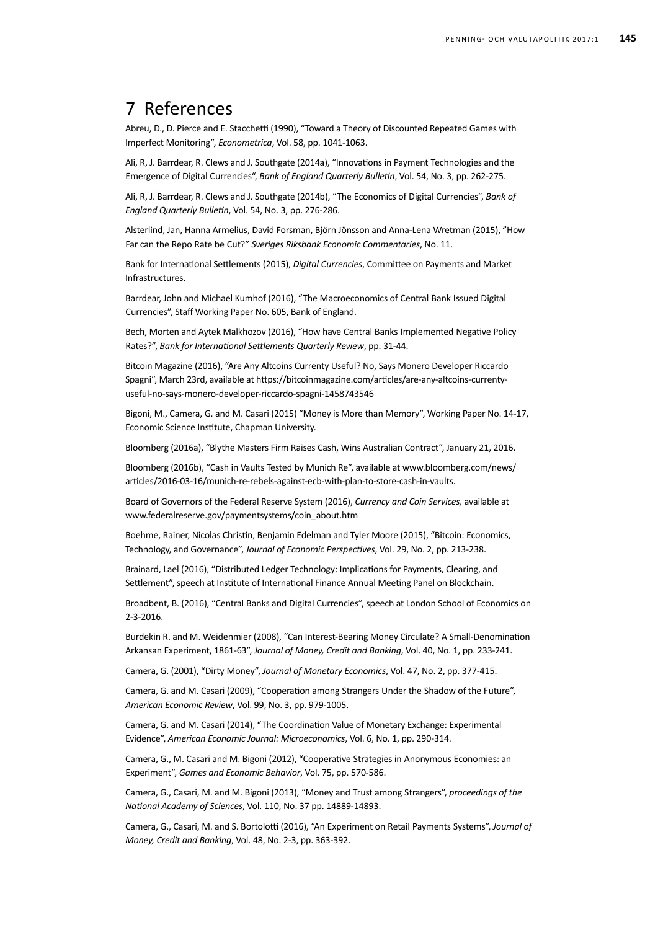## 7 References

Abreu, D., D. Pierce and E. Stacchetti (1990), "Toward a Theory of Discounted Repeated Games with Imperfect Monitoring", *Econometrica*, Vol. 58, pp. 1041-1063.

Ali, R, J. Barrdear, R. Clews and J. Southgate (2014a), "Innovations in Payment technologies and the emergence of digital currencies", *Bank of England Quarterly Bulletin*, Vol. 54, No. 3, pp. 262-275.

Ali, R, J. Barrdear, R. Clews and J. Southgate (2014b), "The economics of digital currencies", *Bank of England Quarterly Bulletin*, Vol. 54, No. 3, pp. 276-286.

Alsterlind, Jan, Hanna Armelius, David Forsman, Björn Jönsson and Anna-Lena Wretman (2015), "How Far can the Repo Rate be Cut?" Sveriges Riksbank Economic Commentaries, No. 11.

Bank for International Settlements (2015), *Digital currencies*, Committee on Payments and Market Infrastructures.

Barrdear, John and Michael Kumhof (2016), "The macroeconomics of central bank issued digital currencies", Staff Working Paper No. 605, Bank of England.

Bech, Morten and Aytek Malkhozov (2016), "How have Central Banks Implemented Negative Policy rates?", *Bank for International Settlements Quarterly Review*, pp. 31-44.

Bitcoin Magazine (2016), "Are Any Altcoins Currenty Useful? No, Says Monero Developer Riccardo Spagni", March 23rd, available at https://bitcoinmagazine.com/articles/are-any-altcoins-currentyuseful-no-says-monero-developer-riccardo-spagni-1458743546

Bigoni, M., Camera, G. and M. Casari (2015) "Money is More than Memory", Working Paper No. 14-17, Economic Science Institute, Chapman University.

Bloomberg (2016a), "Blythe Masters Firm Raises Cash, Wins Australian Contract", January 21, 2016.

Bloomberg (2016b), "Cash in Vaults Tested by Munich Re", available at www.bloomberg.com/news/ articles/2016-03-16/munich-re-rebels-against-ecb-with-plan-to-store-cash-in-vaults.

Board of Governors of the Federal Reserve System (2016), *Currency and Coin Services,* available at www.federalreserve.gov/paymentsystems/coin\_about.htm

Boehme, Rainer, Nicolas Christin, Benjamin Edelman and Tyler Moore (2015), "Bitcoin: Economics, Technology, and Governance", *Journal of Economic Perspectives*, Vol. 29, No. 2, pp. 213-238.

Brainard, Lael (2016), "Distributed Ledger Technology: Implications for Payments, Clearing, and Settlement", speech at Institute of International Finance Annual Meeting Panel on Blockchain.

Broadbent, B. (2016), "Central Banks and Digital Currencies", speech at London School of Economics on 2-3-2016.

Burdekin R. and M. Weidenmier (2008), "Can Interest-Bearing Money Circulate? A Small-Denomination Arkansan Experiment, 1861-63", *Journal of Money, Credit and Banking*, Vol. 40, No. 1, pp. 233-241.

Camera, G. (2001), "Dirty money", *Journal of Monetary Economics*, Vol. 47, No. 2, pp. 377-415.

Camera, G. and M. Casari (2009), "Cooperation among Strangers Under the Shadow of the Future", *American Economic Review*, Vol. 99, No. 3, pp. 979-1005.

Camera, G. and M. Casari (2014), "The Coordination Value of Monetary Exchange: Experimental Evidence", *American Economic Journal: Microeconomics*, Vol. 6, No. 1, pp. 290-314.

Camera, G., M. Casari and M. Bigoni (2012), "Cooperative strategies in anonymous economies: an experiment", *Games and Economic Behavior*, Vol. 75, pp. 570-586.

Camera, G., Casari, M. and M. Bigoni (2013), "Money and trust among strangers", *proceedings of the National Academy of Sciences*, Vol. 110, No. 37 pp. 14889-14893.

Camera, G., Casari, M. and S. Bortolotti (2016), "An experiment on retail payments systems", *Journal of Money, Credit and Banking*, Vol. 48, No. 2-3, pp. 363-392.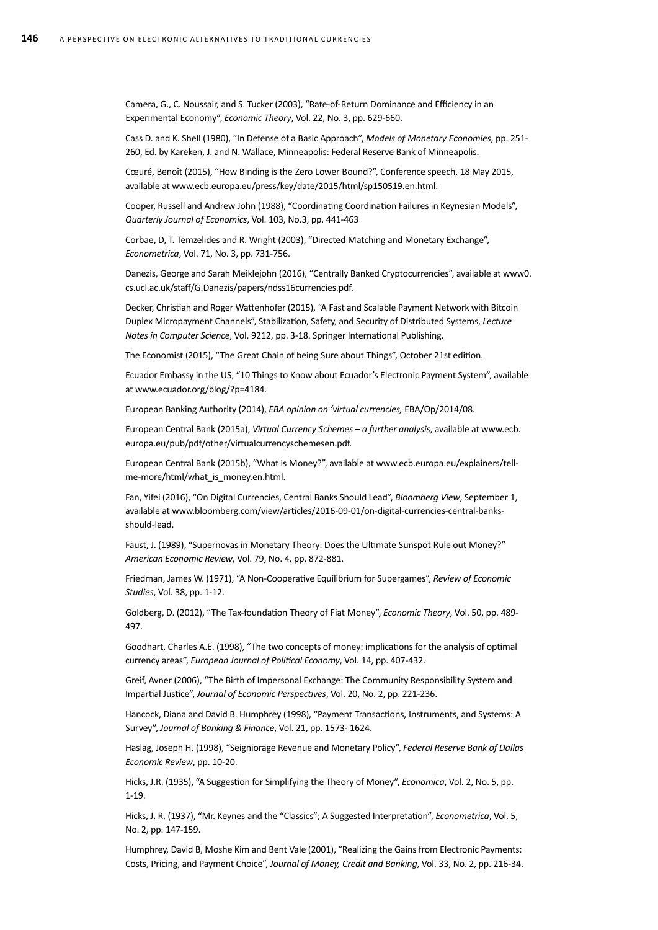Camera, G., C. Noussair, and S. Tucker (2003), "Rate-of-Return Dominance and Efficiency in an experimental economy", *Economic Theory*, Vol. 22, No. 3, pp. 629-660.

Cass D. and K. Shell (1980), "In Defense of a Basic Approach", *Models of monetary economies*, pp. 251- 260, Ed. by Kareken, J. and N. Wallace, Minneapolis: Federal Reserve Bank of Minneapolis.

Cœuré, Benoît (2015), "How binding is the zero lower bound?", Conference speech, 18 May 2015, available at www.ecb.europa.eu/press/key/date/2015/html/sp150519.en.html.

Cooper, Russell and Andrew John (1988), "Coordinating Coordination Failures in Keynesian Models", *Quarterly Journal of Economics*, Vol. 103, No.3, pp. 441-463

Corbae, D, T. Temzelides and R. Wright (2003), "Directed matching and monetary exchange", *Econometrica*, Vol. 71, No. 3, pp. 731-756.

Danezis, George and Sarah Meiklejohn (2016), "Centrally Banked Cryptocurrencies", available at www0. cs.ucl.ac.uk/staff/G.Danezis/papers/ndss16currencies.pdf.

Decker, Christian and Roger Wattenhofer (2015), "A Fast and Scalable Payment Network with Bitcoin Duplex Micropayment Channels", Stabilization, Safety, and Security of Distributed Systems, *Lecture Notes in Computer Science*, Vol. 9212, pp. 3-18. Springer International Publishing.

The Economist (2015), "The Great Chain of being Sure about Things", October 21st edition.

Ecuador Embassy in the US, "10 Things to Know about Ecuador's Electronic Payment System", available at www.ecuador.org/blog/?p=4184.

European Banking Authority (2014), *EBA opinion on 'virtual currencies,* EBA/Op/2014/08.

European Central Bank (2015a), *Virtual currency schemes – a further analysis*, available at www.ecb. europa.eu/pub/pdf/other/virtualcurrencyschemesen.pdf.

European Central Bank (2015b), "What is money?", available at www.ecb.europa.eu/explainers/tellme-more/html/what\_is\_money.en.html.

Fan, Yifei (2016), "On Digital Currencies, Central Banks Should Lead", *Bloomberg View*, September 1, available at www.bloomberg.com/view/articles/2016-09-01/on-digital-currencies-central-banksshould-lead.

Faust, J. (1989), "Supernovas in Monetary Theory: Does the Ultimate Sunspot Rule out Money?" *American Economic Review*, Vol. 79, No. 4, pp. 872-881.

Friedman, James W. (1971), "A Non-Cooperative Equilibrium for Supergames", *Review of Economic Studies*, Vol. 38, pp. 1-12.

Goldberg, D. (2012), "The Tax-foundation Theory of Fiat Money", *Economic Theory*, Vol. 50, pp. 489-497.

Goodhart, Charles A.E. (1998), "The two concepts of money: implications for the analysis of optimal currency areas", *European Journal of Political Economy*, Vol. 14, pp. 407-432.

Greif, Avner (2006), "The Birth of Impersonal Exchange: The Community Responsibility System and Impartial Justice", *Journal of Economic Perspectives*, Vol. 20, No. 2, pp. 221-236.

Hancock, Diana and David B. Humphrey (1998), "Payment transactions, instruments, and systems: A survey", *Journal of Banking & Finance*, Vol. 21, pp. 1573- 1624.

Haslag, Joseph H. (1998), "Seigniorage Revenue and Monetary Policy", *Federal Reserve Bank of Dallas Economic Review*, pp. 10-20.

Hicks, J.R. (1935), "A Suggestion for Simplifying the Theory of Money", *Economica*, Vol. 2, No. 5, pp. 1-19.

Hicks, J. R. (1937), "Mr. Keynes and the "Classics"; A Suggested Interpretation", *Econometrica*, Vol. 5, No. 2, pp. 147-159.

Humphrey, David B, Moshe Kim and Bent Vale (2001), "Realizing the Gains from Electronic Payments: Costs, Pricing, and Payment Choice", *Journal of Money, Credit and Banking*, Vol. 33, No. 2, pp. 216-34.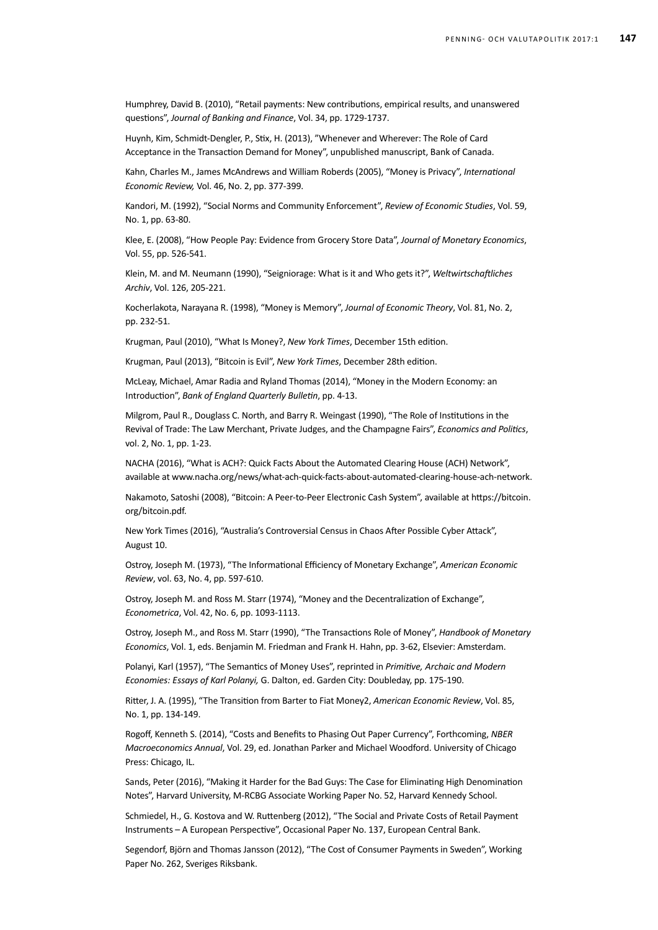Humphrey, David B. (2010), "Retail payments: New contributions, empirical results, and unanswered questions", *Journal of Banking and Finance*, Vol. 34, pp. 1729-1737.

Huynh, Kim, Schmidt-Dengler, P., Stix, H. (2013), "Whenever and Wherever: The Role of Card Acceptance in the Transaction Demand for Money", unpublished manuscript, Bank of Canada.

Kahn, Charles M., James McAndrews and William Roberds (2005), "Money is Privacy", *International Economic Review,* Vol. 46, No. 2, pp. 377-399.

Kandori, M. (1992), "Social Norms and Community Enforcement", *Review of Economic Studies*, Vol. 59, No. 1, pp. 63-80.

Klee, E. (2008), "How people pay: Evidence from grocery store data", *Journal of Monetary Economics*, Vol. 55, pp. 526-541.

Klein, M. and M. Neumann (1990), "Seigniorage: what is it and who gets it?", *Weltwirtschaftliches Archiv*, Vol. 126, 205-221.

Kocherlakota, Narayana R. (1998), "Money is memory", *Journal of Economic Theory*, Vol. 81, No. 2, pp. 232-51.

Krugman, Paul (2010), "What Is Money?, *New York Times*, December 15th edition.

Krugman, Paul (2013), "Bitcoin is Evil", *New York Times*, December 28th edition.

McLeay, Michael, Amar Radia and Ryland Thomas (2014), "Money in the modern economy: an introduction", *Bank of England Quarterly Bulletin*, pp. 4-13.

Milgrom, Paul R., Douglass C. North, and Barry R. Weingast (1990), "The Role of Institutions in the Revival of Trade: The Law Merchant, Private Judges, and the Champagne Fairs", *Economics and Politics*, vol. 2, No. 1, pp. 1-23.

NACHA (2016), "What is ACH?: Quick Facts About the Automated Clearing House (ACH) Network", available at www.nacha.org/news/what-ach-quick-facts-about-automated-clearing-house-ach-network.

Nakamoto, Satoshi (2008), "Bitcoin: A Peer-to-Peer Electronic Cash System", available at https://bitcoin. org/bitcoin.pdf.

New York Times (2016), "Australia's Controversial Census in Chaos After Possible Cyber Attack", August 10.

Ostroy, Joseph M. (1973), "The Informational Efficiency of Monetary Exchange", *American Economic Review*, vol. 63, No. 4, pp. 597-610.

Ostroy, Joseph M. and Ross M. Starr (1974), "Money and the Decentralization of Exchange", *Econometrica*, Vol. 42, No. 6, pp. 1093-1113.

Ostroy, Joseph M., and Ross M. Starr (1990), "The Transactions Role of Money", *Handbook of Monetary Economics*, Vol. 1, eds. Benjamin M. Friedman and Frank H. Hahn, pp. 3-62, Elsevier: Amsterdam.

Polanyi, Karl (1957), "The semantics of money uses", reprinted in *Primitive, archaic and modern economies: essays of Karl Polanyi,* G. Dalton, ed. Garden City: Doubleday, pp. 175-190.

Ritter, J. A. (1995), "The Transition from Barter to Fiat Money2, *American Economic Review*, Vol. 85, No. 1, pp. 134-149.

Rogoff, Kenneth S. (2014), "Costs and Benefits to Phasing Out Paper Currency", Forthcoming, *NBER Macroeconomics Annual*, Vol. 29, ed. Jonathan Parker and Michael Woodford. University of Chicago Press: Chicago, IL.

Sands, Peter (2016), "Making it Harder for the Bad Guys: The Case for Eliminating High Denomination Notes", Harvard University, M-RCBG Associate Working Paper No. 52, Harvard Kennedy School.

Schmiedel, H., G. Kostova and W. Ruttenberg (2012), "The Social and Private Costs of Retail Payment Instruments – A European Perspective", Occasional Paper No. 137, European Central Bank.

Segendorf, Björn and Thomas Jansson (2012), "The Cost of Consumer Payments in Sweden", Working Paper No. 262, Sveriges Riksbank.